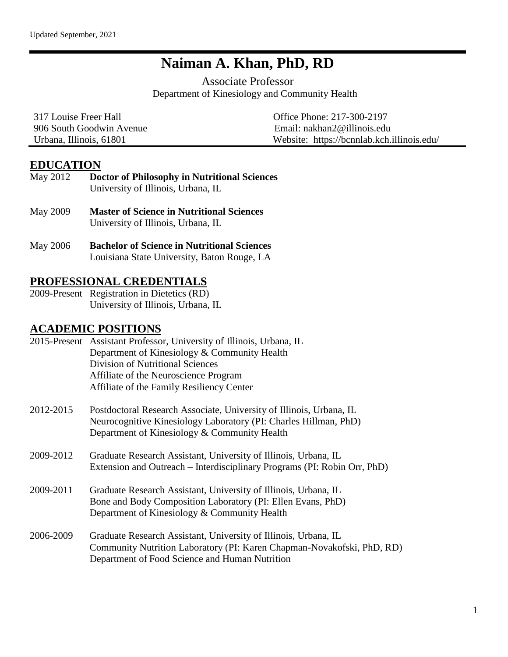## **Naiman A. Khan, PhD, RD**

Associate Professor Department of Kinesiology and Community Health

| 317 Louise Freer Hall    | Office Phone: 217-300-2197                 |  |  |
|--------------------------|--------------------------------------------|--|--|
| 906 South Goodwin Avenue | Email: $nakhan2@$ illinois.edu             |  |  |
| Urbana, Illinois, 61801  | Website: https://bcnnlab.kch.illinois.edu/ |  |  |

### **EDUCATION**

- May 2012 **Doctor of Philosophy in Nutritional Sciences**  University of Illinois, Urbana, IL
- May 2009 **Master of Science in Nutritional Sciences** University of Illinois, Urbana, IL
- May 2006 **Bachelor of Science in Nutritional Sciences** Louisiana State University, Baton Rouge, LA

## **PROFESSIONAL CREDENTIALS**

2009-Present Registration in Dietetics (RD) University of Illinois, Urbana, IL

### **ACADEMIC POSITIONS**

|           | 2015-Present Assistant Professor, University of Illinois, Urbana, IL<br>Department of Kinesiology & Community Health<br><b>Division of Nutritional Sciences</b><br>Affiliate of the Neuroscience Program |
|-----------|----------------------------------------------------------------------------------------------------------------------------------------------------------------------------------------------------------|
|           | Affiliate of the Family Resiliency Center                                                                                                                                                                |
| 2012.2015 | Postdoctoral Research Associate University of Illinois Urb                                                                                                                                               |

- 2012-2015 Postdoctoral Research Associate, University of Illinois, Urbana, IL Neurocognitive Kinesiology Laboratory (PI: Charles Hillman, PhD) Department of Kinesiology & Community Health
- 2009-2012 Graduate Research Assistant, University of Illinois, Urbana, IL Extension and Outreach – Interdisciplinary Programs (PI: Robin Orr, PhD)
- 2009-2011 Graduate Research Assistant, University of Illinois, Urbana, IL Bone and Body Composition Laboratory (PI: Ellen Evans, PhD) Department of Kinesiology & Community Health
- 2006-2009 Graduate Research Assistant, University of Illinois, Urbana, IL Community Nutrition Laboratory (PI: Karen Chapman-Novakofski, PhD, RD) Department of Food Science and Human Nutrition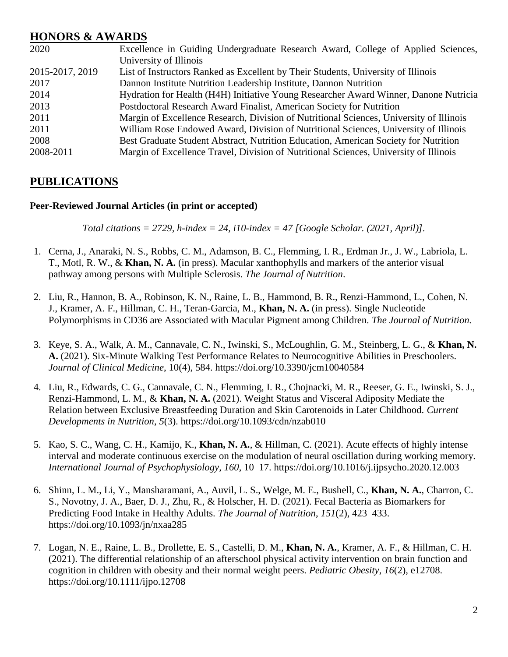### **HONORS & AWARDS**

| 2020            | Excellence in Guiding Undergraduate Research Award, College of Applied Sciences,        |
|-----------------|-----------------------------------------------------------------------------------------|
|                 | University of Illinois                                                                  |
| 2015-2017, 2019 | List of Instructors Ranked as Excellent by Their Students, University of Illinois       |
| 2017            | Dannon Institute Nutrition Leadership Institute, Dannon Nutrition                       |
| 2014            | Hydration for Health (H4H) Initiative Young Researcher Award Winner, Danone Nutricia    |
| 2013            | Postdoctoral Research Award Finalist, American Society for Nutrition                    |
| 2011            | Margin of Excellence Research, Division of Nutritional Sciences, University of Illinois |
| 2011            | William Rose Endowed Award, Division of Nutritional Sciences, University of Illinois    |
| 2008            | Best Graduate Student Abstract, Nutrition Education, American Society for Nutrition     |
| 2008-2011       | Margin of Excellence Travel, Division of Nutritional Sciences, University of Illinois   |

## **PUBLICATIONS**

#### **Peer-Reviewed Journal Articles (in print or accepted)**

*Total citations = 2729, h-index = 24, i10-index = 47 [Google Scholar. (2021, April)].*

- 1. Cerna, J., Anaraki, N. S., Robbs, C. M., Adamson, B. C., Flemming, I. R., Erdman Jr., J. W., Labriola, L. T., Motl, R. W., & **Khan, N. A.** (in press). Macular xanthophylls and markers of the anterior visual pathway among persons with Multiple Sclerosis. *The Journal of Nutrition*.
- 2. Liu, R., Hannon, B. A., Robinson, K. N., Raine, L. B., Hammond, B. R., Renzi-Hammond, L., Cohen, N. J., Kramer, A. F., Hillman, C. H., Teran-Garcia, M., **Khan, N. A.** (in press). Single Nucleotide Polymorphisms in CD36 are Associated with Macular Pigment among Children. *The Journal of Nutrition.*
- 3. Keye, S. A., Walk, A. M., Cannavale, C. N., Iwinski, S., McLoughlin, G. M., Steinberg, L. G., & **Khan, N. A.** (2021). Six-Minute Walking Test Performance Relates to Neurocognitive Abilities in Preschoolers. *Journal of Clinical Medicine*, 10(4), 584. https://doi.org/10.3390/jcm10040584
- 4. Liu, R., Edwards, C. G., Cannavale, C. N., Flemming, I. R., Chojnacki, M. R., Reeser, G. E., Iwinski, S. J., Renzi-Hammond, L. M., & **Khan, N. A.** (2021). Weight Status and Visceral Adiposity Mediate the Relation between Exclusive Breastfeeding Duration and Skin Carotenoids in Later Childhood. *Current Developments in Nutrition*, *5*(3). https://doi.org/10.1093/cdn/nzab010
- 5. Kao, S. C., Wang, C. H., Kamijo, K., **Khan, N. A.**, & Hillman, C. (2021). Acute effects of highly intense interval and moderate continuous exercise on the modulation of neural oscillation during working memory. *International Journal of Psychophysiology*, *160*, 10–17. https://doi.org/10.1016/j.ijpsycho.2020.12.003
- 6. Shinn, L. M., Li, Y., Mansharamani, A., Auvil, L. S., Welge, M. E., Bushell, C., **Khan, N. A.**, Charron, C. S., Novotny, J. A., Baer, D. J., Zhu, R., & Holscher, H. D. (2021). Fecal Bacteria as Biomarkers for Predicting Food Intake in Healthy Adults. *The Journal of Nutrition*, *151*(2), 423–433. https://doi.org/10.1093/jn/nxaa285
- 7. Logan, N. E., Raine, L. B., Drollette, E. S., Castelli, D. M., **Khan, N. A.**, Kramer, A. F., & Hillman, C. H. (2021). The differential relationship of an afterschool physical activity intervention on brain function and cognition in children with obesity and their normal weight peers. *Pediatric Obesity*, *16*(2), e12708. https://doi.org/10.1111/ijpo.12708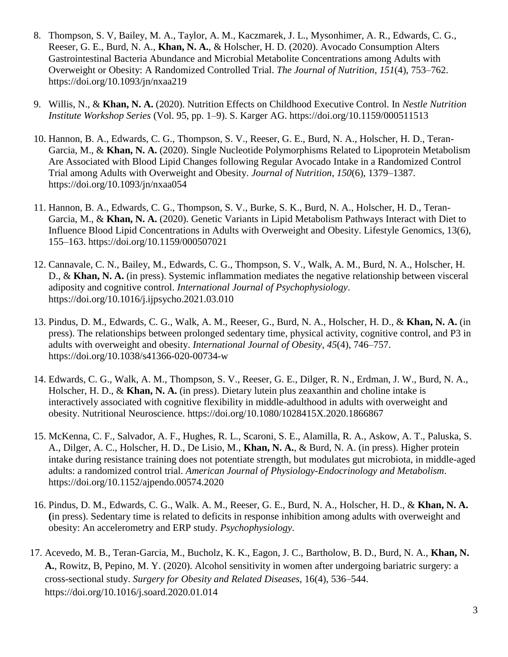- 8. Thompson, S. V, Bailey, M. A., Taylor, A. M., Kaczmarek, J. L., Mysonhimer, A. R., Edwards, C. G., Reeser, G. E., Burd, N. A., **Khan, N. A.**, & Holscher, H. D. (2020). Avocado Consumption Alters Gastrointestinal Bacteria Abundance and Microbial Metabolite Concentrations among Adults with Overweight or Obesity: A Randomized Controlled Trial. *The Journal of Nutrition*, *151*(4), 753–762. https://doi.org/10.1093/jn/nxaa219
- 9. Willis, N., & **Khan, N. A.** (2020). Nutrition Effects on Childhood Executive Control. In *Nestle Nutrition Institute Workshop Series* (Vol. 95, pp. 1–9). S. Karger AG. https://doi.org/10.1159/000511513
- 10. Hannon, B. A., Edwards, C. G., Thompson, S. V., Reeser, G. E., Burd, N. A., Holscher, H. D., Teran-Garcia, M., & **Khan, N. A.** (2020). Single Nucleotide Polymorphisms Related to Lipoprotein Metabolism Are Associated with Blood Lipid Changes following Regular Avocado Intake in a Randomized Control Trial among Adults with Overweight and Obesity. *Journal of Nutrition*, *150*(6), 1379–1387. https://doi.org/10.1093/jn/nxaa054
- 11. Hannon, B. A., Edwards, C. G., Thompson, S. V., Burke, S. K., Burd, N. A., Holscher, H. D., Teran-Garcia, M., & **Khan, N. A.** (2020). Genetic Variants in Lipid Metabolism Pathways Interact with Diet to Influence Blood Lipid Concentrations in Adults with Overweight and Obesity. Lifestyle Genomics, 13(6), 155–163. https://doi.org/10.1159/000507021
- 12. Cannavale, C. N., Bailey, M., Edwards, C. G., Thompson, S. V., Walk, A. M., Burd, N. A., Holscher, H. D., & **Khan, N. A.** (in press). Systemic inflammation mediates the negative relationship between visceral adiposity and cognitive control. *International Journal of Psychophysiology*. https://doi.org/10.1016/j.ijpsycho.2021.03.010
- 13. Pindus, D. M., Edwards, C. G., Walk, A. M., Reeser, G., Burd, N. A., Holscher, H. D., & **Khan, N. A.** (in press). The relationships between prolonged sedentary time, physical activity, cognitive control, and P3 in adults with overweight and obesity. *International Journal of Obesity*, *45*(4), 746–757. https://doi.org/10.1038/s41366-020-00734-w
- 14. Edwards, C. G., Walk, A. M., Thompson, S. V., Reeser, G. E., Dilger, R. N., Erdman, J. W., Burd, N. A., Holscher, H. D., & **Khan, N. A.** (in press). Dietary lutein plus zeaxanthin and choline intake is interactively associated with cognitive flexibility in middle-adulthood in adults with overweight and obesity. Nutritional Neuroscience. https://doi.org/10.1080/1028415X.2020.1866867
- 15. McKenna, C. F., Salvador, A. F., Hughes, R. L., Scaroni, S. E., Alamilla, R. A., Askow, A. T., Paluska, S. A., Dilger, A. C., Holscher, H. D., De Lisio, M., **Khan, N. A.**, & Burd, N. A. (in press). Higher protein intake during resistance training does not potentiate strength, but modulates gut microbiota, in middle-aged adults: a randomized control trial. *American Journal of Physiology-Endocrinology and Metabolism*. https://doi.org/10.1152/ajpendo.00574.2020
- 16. Pindus, D. M., Edwards, C. G., Walk. A. M., Reeser, G. E., Burd, N. A., Holscher, H. D., & **Khan, N. A. (**in press). Sedentary time is related to deficits in response inhibition among adults with overweight and obesity: An accelerometry and ERP study. *Psychophysiology*.
- 17. Acevedo, M. B., Teran-Garcia, M., Bucholz, K. K., Eagon, J. C., Bartholow, B. D., Burd, N. A., **Khan, N. A.**, Rowitz, B, Pepino, M. Y. (2020). Alcohol sensitivity in women after undergoing bariatric surgery: a cross-sectional study. *Surgery for Obesity and Related Diseases*, 16(4), 536–544. https://doi.org/10.1016/j.soard.2020.01.014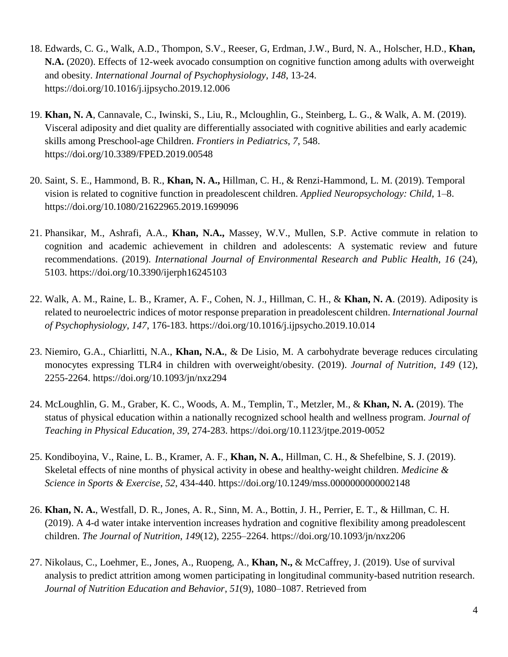- 18. Edwards, C. G., Walk, A.D., Thompon, S.V., Reeser, G, Erdman, J.W., Burd, N. A., Holscher, H.D., **Khan, N.A.** (2020). Effects of 12-week avocado consumption on cognitive function among adults with overweight and obesity. *International Journal of Psychophysiology*, *148*, 13-24. https://doi.org/10.1016/j.ijpsycho.2019.12.006
- 19. **Khan, N. A**, Cannavale, C., Iwinski, S., Liu, R., Mcloughlin, G., Steinberg, L. G., & Walk, A. M. (2019). Visceral adiposity and diet quality are differentially associated with cognitive abilities and early academic skills among Preschool-age Children. *Frontiers in Pediatrics*, *7*, 548. https://doi.org/10.3389/FPED.2019.00548
- 20. Saint, S. E., Hammond, B. R., **Khan, N. A.,** Hillman, C. H., & Renzi-Hammond, L. M. (2019). Temporal vision is related to cognitive function in preadolescent children. *Applied Neuropsychology: Child*, 1–8. https://doi.org/10.1080/21622965.2019.1699096
- 21. Phansikar, M., Ashrafi, A.A., **Khan, N.A.,** Massey, W.V., Mullen, S.P. Active commute in relation to cognition and academic achievement in children and adolescents: A systematic review and future recommendations. (2019). *International Journal of Environmental Research and Public Health*, *16* (24), 5103. https://doi.org/10.3390/ijerph16245103
- 22. Walk, A. M., Raine, L. B., Kramer, A. F., Cohen, N. J., Hillman, C. H., & **Khan, N. A**. (2019). Adiposity is related to neuroelectric indices of motor response preparation in preadolescent children. *International Journal of Psychophysiology*, *147*, 176-183. https://doi.org/10.1016/j.ijpsycho.2019.10.014
- 23. Niemiro, G.A., Chiarlitti, N.A., **Khan, N.A.**, & De Lisio, M. A carbohydrate beverage reduces circulating monocytes expressing TLR4 in children with overweight/obesity. (2019). *Journal of Nutrition*, *149* (12), 2255-2264. https://doi.org/10.1093/jn/nxz294
- 24. McLoughlin, G. M., Graber, K. C., Woods, A. M., Templin, T., Metzler, M., & **Khan, N. A.** (2019). The status of physical education within a nationally recognized school health and wellness program. *Journal of Teaching in Physical Education*, *39*, 274-283. https://doi.org/10.1123/jtpe.2019-0052
- 25. Kondiboyina, V., Raine, L. B., Kramer, A. F., **Khan, N. A.**, Hillman, C. H., & Shefelbine, S. J. (2019). Skeletal effects of nine months of physical activity in obese and healthy-weight children. *Medicine & Science in Sports & Exercise*, *52*, 434-440. https://doi.org/10.1249/mss.0000000000002148
- 26. **Khan, N. A.**, Westfall, D. R., Jones, A. R., Sinn, M. A., Bottin, J. H., Perrier, E. T., & Hillman, C. H. (2019). A 4-d water intake intervention increases hydration and cognitive flexibility among preadolescent children. *The Journal of Nutrition*, *149*(12), 2255–2264. https://doi.org/10.1093/jn/nxz206
- 27. Nikolaus, C., Loehmer, E., Jones, A., Ruopeng, A., **Khan, N.,** & McCaffrey, J. (2019). Use of survival analysis to predict attrition among women participating in longitudinal community-based nutrition research. *Journal of Nutrition Education and Behavior*, *51*(9), 1080–1087. Retrieved from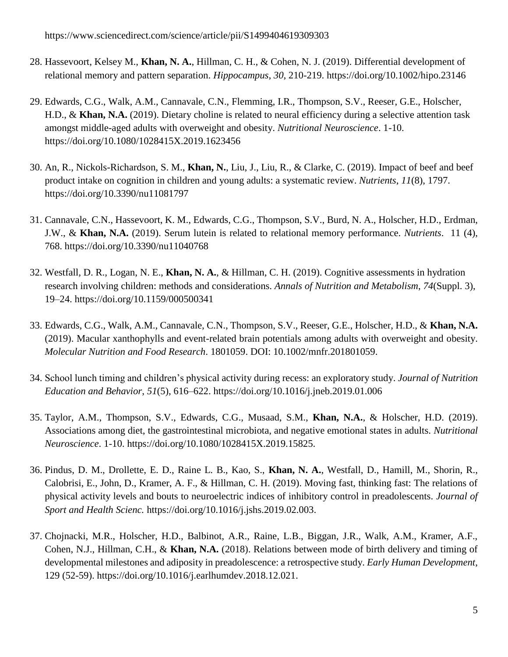- 28. Hassevoort, Kelsey M., **Khan, N. A.**, Hillman, C. H., & Cohen, N. J. (2019). Differential development of relational memory and pattern separation. *Hippocampus*, *30*, 210-219. https://doi.org/10.1002/hipo.23146
- 29. Edwards, C.G., Walk, A.M., Cannavale, C.N., Flemming, I.R., Thompson, S.V., Reeser, G.E., Holscher, H.D., & **Khan, N.A.** (2019). Dietary choline is related to neural efficiency during a selective attention task amongst middle-aged adults with overweight and obesity. *Nutritional Neuroscience*. 1-10. https://doi.org/10.1080/1028415X.2019.1623456
- 30. An, R., Nickols-Richardson, S. M., **Khan, N.**, Liu, J., Liu, R., & Clarke, C. (2019). Impact of beef and beef product intake on cognition in children and young adults: a systematic review. *Nutrients*, *11*(8), 1797. https://doi.org/10.3390/nu11081797
- 31. Cannavale, C.N., Hassevoort, K. M., Edwards, C.G., Thompson, S.V., Burd, N. A., Holscher, H.D., Erdman, J.W., & **Khan, N.A.** (2019). Serum lutein is related to relational memory performance. *Nutrients*. 11 (4), 768. https://doi.org/10.3390/nu11040768
- 32. Westfall, D. R., Logan, N. E., **Khan, N. A.**, & Hillman, C. H. (2019). Cognitive assessments in hydration research involving children: methods and considerations. *Annals of Nutrition and Metabolism*, *74*(Suppl. 3), 19–24. https://doi.org/10.1159/000500341
- 33. Edwards, C.G., Walk, A.M., Cannavale, C.N., Thompson, S.V., Reeser, G.E., Holscher, H.D., & **Khan, N.A.** (2019). Macular xanthophylls and event-related brain potentials among adults with overweight and obesity. *Molecular Nutrition and Food Research*. 1801059. DOI: 10.1002/mnfr.201801059.
- 34. School lunch timing and children's physical activity during recess: an exploratory study. *Journal of Nutrition Education and Behavior*, *51*(5), 616–622. https://doi.org/10.1016/j.jneb.2019.01.006
- 35. Taylor, A.M., Thompson, S.V., Edwards, C.G., Musaad, S.M., **Khan, N.A.**, & Holscher, H.D. (2019). Associations among diet, the gastrointestinal microbiota, and negative emotional states in adults. *Nutritional Neuroscience*. 1-10. https://doi.org/10.1080/1028415X.2019.15825.
- 36. Pindus, D. M., Drollette, E. D., Raine L. B., Kao, S., **Khan, N. A.**, Westfall, D., Hamill, M., Shorin, R., Calobrisi, E., John, D., Kramer, A. F., & Hillman, C. H. (2019). Moving fast, thinking fast: The relations of physical activity levels and bouts to neuroelectric indices of inhibitory control in preadolescents. *Journal of Sport and Health Scienc.* https://doi.org/10.1016/j.jshs.2019.02.003.
- 37. Chojnacki, M.R., Holscher, H.D., Balbinot, A.R., Raine, L.B., Biggan, J.R., Walk, A.M., Kramer, A.F., Cohen, N.J., Hillman, C.H., & **Khan, N.A.** (2018). Relations between mode of birth delivery and timing of developmental milestones and adiposity in preadolescence: a retrospective study. *Early Human Development*, 129 (52-59). https://doi.org/10.1016/j.earlhumdev.2018.12.021.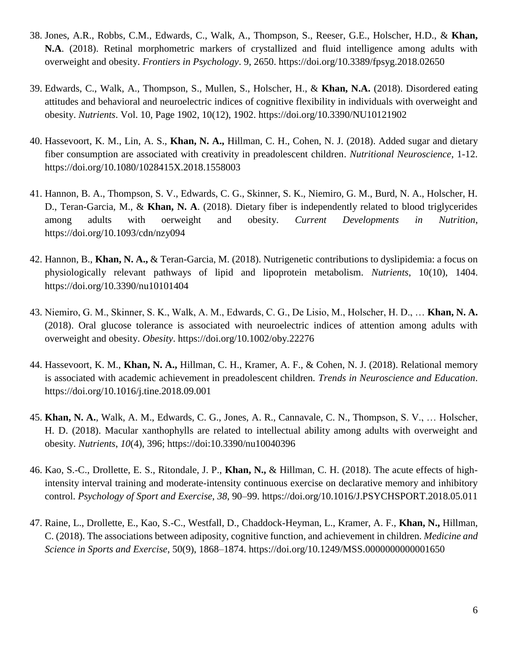- 38. Jones, A.R., Robbs, C.M., Edwards, C., Walk, A., Thompson, S., Reeser, G.E., Holscher, H.D., & **Khan, N.A**. (2018). Retinal morphometric markers of crystallized and fluid intelligence among adults with overweight and obesity. *Frontiers in Psychology*. 9, 2650. https://doi.org/10.3389/fpsyg.2018.02650
- 39. Edwards, C., Walk, A., Thompson, S., Mullen, S., Holscher, H., & **Khan, N.A.** (2018). Disordered eating attitudes and behavioral and neuroelectric indices of cognitive flexibility in individuals with overweight and obesity. *Nutrients*. Vol. 10, Page 1902, 10(12), 1902. https://doi.org/10.3390/NU10121902
- 40. Hassevoort, K. M., Lin, A. S., **Khan, N. A.,** Hillman, C. H., Cohen, N. J. (2018). Added sugar and dietary fiber consumption are associated with creativity in preadolescent children. *Nutritional Neuroscience*, 1-12. https://doi.org/10.1080/1028415X.2018.1558003
- 41. Hannon, B. A., Thompson, S. V., Edwards, C. G., Skinner, S. K., Niemiro, G. M., Burd, N. A., Holscher, H. D., Teran-Garcia, M., & **Khan, N. A**. (2018). Dietary fiber is independently related to blood triglycerides among adults with oerweight and obesity. *Current Developments in Nutrition*, https://doi.org/10.1093/cdn/nzy094
- 42. Hannon, B., **Khan, N. A.,** & Teran-Garcia, M. (2018). Nutrigenetic contributions to dyslipidemia: a focus on physiologically relevant pathways of lipid and lipoprotein metabolism. *Nutrients*, 10(10), 1404. https://doi.org/10.3390/nu10101404
- 43. Niemiro, G. M., Skinner, S. K., Walk, A. M., Edwards, C. G., De Lisio, M., Holscher, H. D., … **Khan, N. A.** (2018). Oral glucose tolerance is associated with neuroelectric indices of attention among adults with overweight and obesity. *Obesity*.<https://doi.org/10.1002/oby.22276>
- 44. Hassevoort, K. M., **Khan, N. A.,** Hillman, C. H., Kramer, A. F., & Cohen, N. J. (2018). Relational memory is associated with academic achievement in preadolescent children*. Trends in Neuroscience and Education*. https://doi.org/10.1016/j.tine.2018.09.001
- 45. **Khan, N. A.**, Walk, A. M., Edwards, C. G., Jones, A. R., Cannavale, C. N., Thompson, S. V., … Holscher, H. D. (2018). Macular xanthophylls are related to intellectual ability among adults with overweight and obesity. *Nutrients*, *10*(4), 396; https://doi:10.3390/nu10040396
- 46. Kao, S.-C., Drollette, E. S., Ritondale, J. P., **Khan, N.,** & Hillman, C. H. (2018). The acute effects of highintensity interval training and moderate-intensity continuous exercise on declarative memory and inhibitory control. *Psychology of Sport and Exercise*, *38*, 90–99. https://doi.org/10.1016/J.PSYCHSPORT.2018.05.011
- 47. Raine, L., Drollette, E., Kao, S.-C., Westfall, D., Chaddock-Heyman, L., Kramer, A. F., **Khan, N.,** Hillman, C. (2018). The associations between adiposity, cognitive function, and achievement in children. *Medicine and Science in Sports and Exercise*, 50(9), 1868–1874. https://doi.org/10.1249/MSS.0000000000001650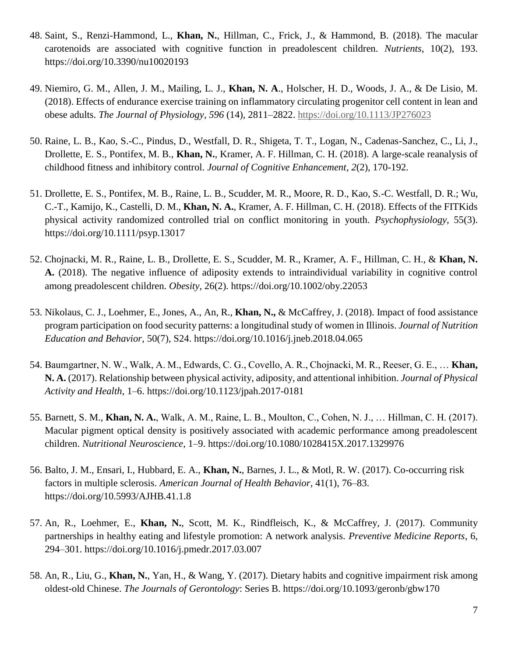- 48. Saint, S., Renzi-Hammond, L., **Khan, N.**, Hillman, C., Frick, J., & Hammond, B. (2018). The macular carotenoids are associated with cognitive function in preadolescent children. *Nutrients*, 10(2), 193. <https://doi.org/10.3390/nu10020193>
- 49. Niemiro, G. M., Allen, J. M., Mailing, L. J., **Khan, N. A**., Holscher, H. D., Woods, J. A., & De Lisio, M. (2018). Effects of endurance exercise training on inflammatory circulating progenitor cell content in lean and obese adults. *The Journal of Physiology*, *596* (14), 2811–2822.<https://doi.org/10.1113/JP276023>
- 50. Raine, L. B., Kao, S.-C., Pindus, D., Westfall, D. R., Shigeta, T. T., Logan, N., Cadenas-Sanchez, C., Li, J., Drollette, E. S., Pontifex, M. B., **Khan, N.**, Kramer, A. F. Hillman, C. H. (2018). A large-scale reanalysis of childhood fitness and inhibitory control. *Journal of Cognitive Enhancement*, *2*(2), 170-192.
- 51. Drollette, E. S., Pontifex, M. B., Raine, L. B., Scudder, M. R., Moore, R. D., Kao, S.-C. Westfall, D. R.; Wu, C.-T., Kamijo, K., Castelli, D. M., **Khan, N. A.**, Kramer, A. F. Hillman, C. H. (2018). Effects of the FITKids physical activity randomized controlled trial on conflict monitoring in youth. *Psychophysiology*, 55(3). https://doi.org/10.1111/psyp.13017
- 52. Chojnacki, M. R., Raine, L. B., Drollette, E. S., Scudder, M. R., Kramer, A. F., Hillman, C. H., & **Khan, N. A.** (2018). The negative influence of adiposity extends to intraindividual variability in cognitive control among preadolescent children. *Obesity*, 26(2). https://doi.org/10.1002/oby.22053
- 53. Nikolaus, C. J., Loehmer, E., Jones, A., An, R., **Khan, N.,** & McCaffrey, J. (2018). Impact of food assistance program participation on food security patterns: a longitudinal study of women in Illinois. *Journal of Nutrition Education and Behavior*, 50(7), S24. https://doi.org/10.1016/j.jneb.2018.04.065
- 54. Baumgartner, N. W., Walk, A. M., Edwards, C. G., Covello, A. R., Chojnacki, M. R., Reeser, G. E., … **Khan, N. A.** (2017). Relationship between physical activity, adiposity, and attentional inhibition. *Journal of Physical Activity and Health*, 1–6. https://doi.org/10.1123/jpah.2017-0181
- 55. Barnett, S. M., **Khan, N. A.**, Walk, A. M., Raine, L. B., Moulton, C., Cohen, N. J., … Hillman, C. H. (2017). Macular pigment optical density is positively associated with academic performance among preadolescent children. *Nutritional Neuroscience*, 1–9. https://doi.org/10.1080/1028415X.2017.1329976
- 56. Balto, J. M., Ensari, I., Hubbard, E. A., **Khan, N.**, Barnes, J. L., & Motl, R. W. (2017). Co-occurring risk factors in multiple sclerosis. *American Journal of Health Behavior*, 41(1), 76–83. https://doi.org/10.5993/AJHB.41.1.8
- 57. An, R., Loehmer, E., **Khan, N.**, Scott, M. K., Rindfleisch, K., & McCaffrey, J. (2017). Community partnerships in healthy eating and lifestyle promotion: A network analysis. *Preventive Medicine Reports*, 6, 294–301. https://doi.org/10.1016/j.pmedr.2017.03.007
- 58. An, R., Liu, G., **Khan, N.**, Yan, H., & Wang, Y. (2017). Dietary habits and cognitive impairment risk among oldest-old Chinese. *The Journals of Gerontology*: Series B. https://doi.org/10.1093/geronb/gbw170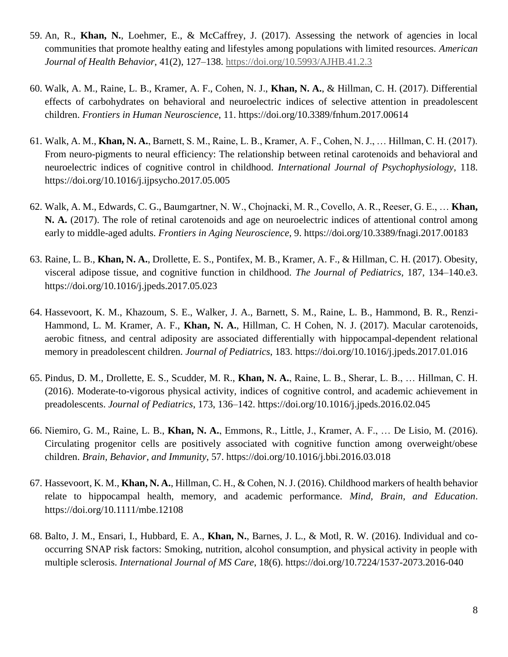- 59. An, R., **Khan, N.**, Loehmer, E., & McCaffrey, J. (2017). Assessing the network of agencies in local communities that promote healthy eating and lifestyles among populations with limited resources. *American Journal of Health Behavior*, 41(2), 127–138.<https://doi.org/10.5993/AJHB.41.2.3>
- 60. Walk, A. M., Raine, L. B., Kramer, A. F., Cohen, N. J., **Khan, N. A.**, & Hillman, C. H. (2017). Differential effects of carbohydrates on behavioral and neuroelectric indices of selective attention in preadolescent children. *Frontiers in Human Neuroscience*, 11. https://doi.org/10.3389/fnhum.2017.00614
- 61. Walk, A. M., **Khan, N. A.**, Barnett, S. M., Raine, L. B., Kramer, A. F., Cohen, N. J., … Hillman, C. H. (2017). From neuro-pigments to neural efficiency: The relationship between retinal carotenoids and behavioral and neuroelectric indices of cognitive control in childhood. *International Journal of Psychophysiology*, 118. https://doi.org/10.1016/j.ijpsycho.2017.05.005
- 62. Walk, A. M., Edwards, C. G., Baumgartner, N. W., Chojnacki, M. R., Covello, A. R., Reeser, G. E., … **Khan, N. A.** (2017). The role of retinal carotenoids and age on neuroelectric indices of attentional control among early to middle-aged adults. *Frontiers in Aging Neuroscience*, 9. https://doi.org/10.3389/fnagi.2017.00183
- 63. Raine, L. B., **Khan, N. A.**, Drollette, E. S., Pontifex, M. B., Kramer, A. F., & Hillman, C. H. (2017). Obesity, visceral adipose tissue, and cognitive function in childhood. *The Journal of Pediatrics*, 187, 134–140.e3. https://doi.org/10.1016/j.jpeds.2017.05.023
- 64. Hassevoort, K. M., Khazoum, S. E., Walker, J. A., Barnett, S. M., Raine, L. B., Hammond, B. R., Renzi-Hammond, L. M. Kramer, A. F., **Khan, N. A.**, Hillman, C. H Cohen, N. J. (2017). Macular carotenoids, aerobic fitness, and central adiposity are associated differentially with hippocampal-dependent relational memory in preadolescent children. *Journal of Pediatrics*, 183. https://doi.org/10.1016/j.jpeds.2017.01.016
- 65. Pindus, D. M., Drollette, E. S., Scudder, M. R., **Khan, N. A.**, Raine, L. B., Sherar, L. B., … Hillman, C. H. (2016). Moderate-to-vigorous physical activity, indices of cognitive control, and academic achievement in preadolescents. *Journal of Pediatrics*, 173, 136–142. https://doi.org/10.1016/j.jpeds.2016.02.045
- 66. Niemiro, G. M., Raine, L. B., **Khan, N. A.**, Emmons, R., Little, J., Kramer, A. F., … De Lisio, M. (2016). Circulating progenitor cells are positively associated with cognitive function among overweight/obese children. *Brain, Behavior, and Immunity*, 57. https://doi.org/10.1016/j.bbi.2016.03.018
- 67. Hassevoort, K. M., **Khan, N. A.**, Hillman, C. H., & Cohen, N. J. (2016). Childhood markers of health behavior relate to hippocampal health, memory, and academic performance. *Mind, Brain, and Education*. https://doi.org/10.1111/mbe.12108
- 68. Balto, J. M., Ensari, I., Hubbard, E. A., **Khan, N.**, Barnes, J. L., & Motl, R. W. (2016). Individual and cooccurring SNAP risk factors: Smoking, nutrition, alcohol consumption, and physical activity in people with multiple sclerosis. *International Journal of MS Care*, 18(6). https://doi.org/10.7224/1537-2073.2016-040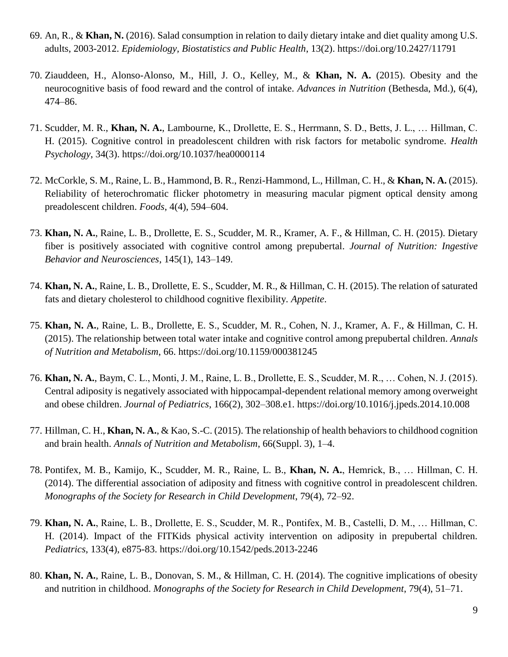- 69. An, R., & **Khan, N.** (2016). Salad consumption in relation to daily dietary intake and diet quality among U.S. adults, 2003-2012. *Epidemiology, Biostatistics and Public Health*, 13(2). https://doi.org/10.2427/11791
- 70. Ziauddeen, H., Alonso-Alonso, M., Hill, J. O., Kelley, M., & **Khan, N. A.** (2015). Obesity and the neurocognitive basis of food reward and the control of intake. *Advances in Nutrition* (Bethesda, Md.), 6(4), 474–86.
- 71. Scudder, M. R., **Khan, N. A.**, Lambourne, K., Drollette, E. S., Herrmann, S. D., Betts, J. L., … Hillman, C. H. (2015). Cognitive control in preadolescent children with risk factors for metabolic syndrome. *Health Psychology*, 34(3). https://doi.org/10.1037/hea0000114
- 72. McCorkle, S. M., Raine, L. B., Hammond, B. R., Renzi-Hammond, L., Hillman, C. H., & **Khan, N. A.** (2015). Reliability of heterochromatic flicker photometry in measuring macular pigment optical density among preadolescent children. *Foods*, 4(4), 594–604.
- 73. **Khan, N. A.**, Raine, L. B., Drollette, E. S., Scudder, M. R., Kramer, A. F., & Hillman, C. H. (2015). Dietary fiber is positively associated with cognitive control among prepubertal. *Journal of Nutrition: Ingestive Behavior and Neurosciences*, 145(1), 143–149.
- 74. **Khan, N. A.**, Raine, L. B., Drollette, E. S., Scudder, M. R., & Hillman, C. H. (2015). The relation of saturated fats and dietary cholesterol to childhood cognitive flexibility. *Appetite*.
- 75. **Khan, N. A.**, Raine, L. B., Drollette, E. S., Scudder, M. R., Cohen, N. J., Kramer, A. F., & Hillman, C. H. (2015). The relationship between total water intake and cognitive control among prepubertal children. *Annals of Nutrition and Metabolism*, 66. https://doi.org/10.1159/000381245
- 76. **Khan, N. A.**, Baym, C. L., Monti, J. M., Raine, L. B., Drollette, E. S., Scudder, M. R., … Cohen, N. J. (2015). Central adiposity is negatively associated with hippocampal-dependent relational memory among overweight and obese children. *Journal of Pediatrics*, 166(2), 302–308.e1. https://doi.org/10.1016/j.jpeds.2014.10.008
- 77. Hillman, C. H., **Khan, N. A.**, & Kao, S.-C. (2015). The relationship of health behaviors to childhood cognition and brain health. *Annals of Nutrition and Metabolism*, 66(Suppl. 3), 1–4.
- 78. Pontifex, M. B., Kamijo, K., Scudder, M. R., Raine, L. B., **Khan, N. A.**, Hemrick, B., … Hillman, C. H. (2014). The differential association of adiposity and fitness with cognitive control in preadolescent children. *Monographs of the Society for Research in Child Development*, 79(4), 72–92.
- 79. **Khan, N. A.**, Raine, L. B., Drollette, E. S., Scudder, M. R., Pontifex, M. B., Castelli, D. M., … Hillman, C. H. (2014). Impact of the FITKids physical activity intervention on adiposity in prepubertal children. *Pediatrics*, 133(4), e875-83. https://doi.org/10.1542/peds.2013-2246
- 80. **Khan, N. A.**, Raine, L. B., Donovan, S. M., & Hillman, C. H. (2014). The cognitive implications of obesity and nutrition in childhood. *Monographs of the Society for Research in Child Development*, 79(4), 51–71.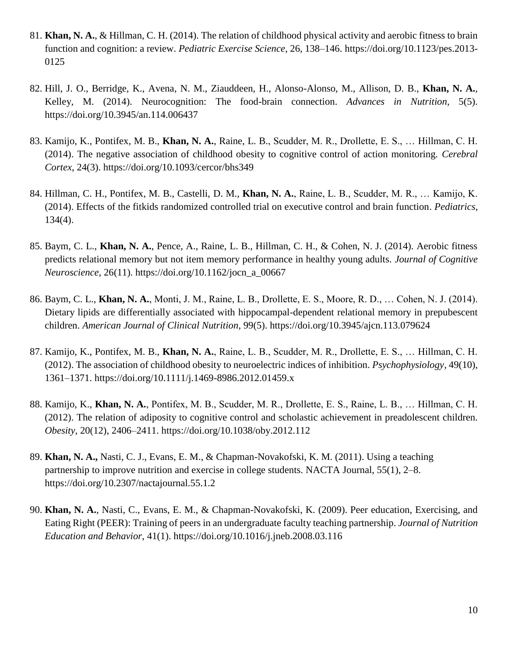- 81. **Khan, N. A.**, & Hillman, C. H. (2014). The relation of childhood physical activity and aerobic fitness to brain function and cognition: a review. *Pediatric Exercise Science*, 26, 138–146. https://doi.org/10.1123/pes.2013- 0125
- 82. Hill, J. O., Berridge, K., Avena, N. M., Ziauddeen, H., Alonso-Alonso, M., Allison, D. B., **Khan, N. A.**, Kelley, M. (2014). Neurocognition: The food-brain connection. *Advances in Nutrition*, 5(5). https://doi.org/10.3945/an.114.006437
- 83. Kamijo, K., Pontifex, M. B., **Khan, N. A.**, Raine, L. B., Scudder, M. R., Drollette, E. S., … Hillman, C. H. (2014). The negative association of childhood obesity to cognitive control of action monitoring. *Cerebral Cortex*, 24(3). https://doi.org/10.1093/cercor/bhs349
- 84. Hillman, C. H., Pontifex, M. B., Castelli, D. M., **Khan, N. A.**, Raine, L. B., Scudder, M. R., … Kamijo, K. (2014). Effects of the fitkids randomized controlled trial on executive control and brain function. *Pediatrics*, 134(4).
- 85. Baym, C. L., **Khan, N. A.**, Pence, A., Raine, L. B., Hillman, C. H., & Cohen, N. J. (2014). Aerobic fitness predicts relational memory but not item memory performance in healthy young adults. *Journal of Cognitive Neuroscience*, 26(11). https://doi.org/10.1162/jocn\_a\_00667
- 86. Baym, C. L., **Khan, N. A.**, Monti, J. M., Raine, L. B., Drollette, E. S., Moore, R. D., … Cohen, N. J. (2014). Dietary lipids are differentially associated with hippocampal-dependent relational memory in prepubescent children. *American Journal of Clinical Nutrition*, 99(5). https://doi.org/10.3945/ajcn.113.079624
- 87. Kamijo, K., Pontifex, M. B., **Khan, N. A.**, Raine, L. B., Scudder, M. R., Drollette, E. S., … Hillman, C. H. (2012). The association of childhood obesity to neuroelectric indices of inhibition. *Psychophysiology*, 49(10), 1361–1371. https://doi.org/10.1111/j.1469-8986.2012.01459.x
- 88. Kamijo, K., **Khan, N. A.**, Pontifex, M. B., Scudder, M. R., Drollette, E. S., Raine, L. B., … Hillman, C. H. (2012). The relation of adiposity to cognitive control and scholastic achievement in preadolescent children. *Obesity*, 20(12), 2406–2411. https://doi.org/10.1038/oby.2012.112
- 89. **Khan, N. A.,** Nasti, C. J., Evans, E. M., & Chapman-Novakofski, K. M. (2011). Using a teaching partnership to improve nutrition and exercise in college students. NACTA Journal, 55(1), 2–8. https://doi.org/10.2307/nactajournal.55.1.2
- 90. **Khan, N. A.**, Nasti, C., Evans, E. M., & Chapman-Novakofski, K. (2009). Peer education, Exercising, and Eating Right (PEER): Training of peers in an undergraduate faculty teaching partnership. *Journal of Nutrition Education and Behavior*, 41(1). https://doi.org/10.1016/j.jneb.2008.03.116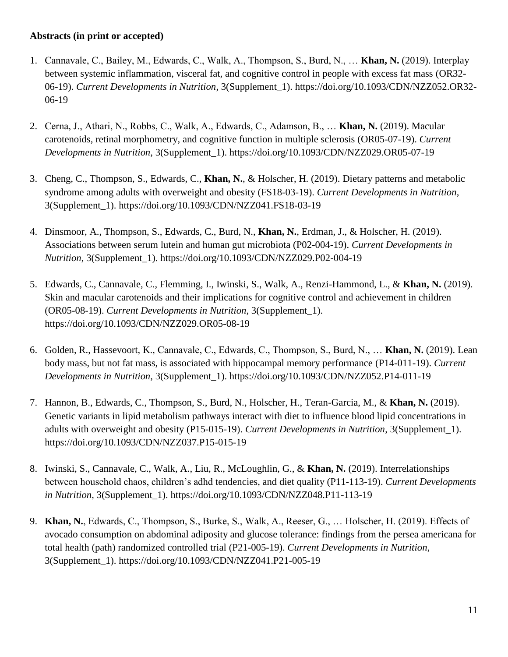### **Abstracts (in print or accepted)**

- 1. Cannavale, C., Bailey, M., Edwards, C., Walk, A., Thompson, S., Burd, N., … **Khan, N.** (2019). Interplay between systemic inflammation, visceral fat, and cognitive control in people with excess fat mass (OR32- 06-19). *Current Developments in Nutrition*, 3(Supplement\_1). https://doi.org/10.1093/CDN/NZZ052.OR32- 06-19
- 2. Cerna, J., Athari, N., Robbs, C., Walk, A., Edwards, C., Adamson, B., … **Khan, N.** (2019). Macular carotenoids, retinal morphometry, and cognitive function in multiple sclerosis (OR05-07-19). *Current Developments in Nutrition*, 3(Supplement\_1). https://doi.org/10.1093/CDN/NZZ029.OR05-07-19
- 3. Cheng, C., Thompson, S., Edwards, C., **Khan, N.**, & Holscher, H. (2019). Dietary patterns and metabolic syndrome among adults with overweight and obesity (FS18-03-19). *Current Developments in Nutrition*, 3(Supplement\_1). https://doi.org/10.1093/CDN/NZZ041.FS18-03-19
- 4. Dinsmoor, A., Thompson, S., Edwards, C., Burd, N., **Khan, N.**, Erdman, J., & Holscher, H. (2019). Associations between serum lutein and human gut microbiota (P02-004-19). *Current Developments in Nutrition*, 3(Supplement\_1). https://doi.org/10.1093/CDN/NZZ029.P02-004-19
- 5. Edwards, C., Cannavale, C., Flemming, I., Iwinski, S., Walk, A., Renzi-Hammond, L., & **Khan, N.** (2019). Skin and macular carotenoids and their implications for cognitive control and achievement in children (OR05-08-19). *Current Developments in Nutrition*, 3(Supplement\_1). https://doi.org/10.1093/CDN/NZZ029.OR05-08-19
- 6. Golden, R., Hassevoort, K., Cannavale, C., Edwards, C., Thompson, S., Burd, N., … **Khan, N.** (2019). Lean body mass, but not fat mass, is associated with hippocampal memory performance (P14-011-19). *Current Developments in Nutrition*, 3(Supplement\_1). https://doi.org/10.1093/CDN/NZZ052.P14-011-19
- 7. Hannon, B., Edwards, C., Thompson, S., Burd, N., Holscher, H., Teran-Garcia, M., & **Khan, N.** (2019). Genetic variants in lipid metabolism pathways interact with diet to influence blood lipid concentrations in adults with overweight and obesity (P15-015-19). *Current Developments in Nutrition*, 3(Supplement\_1). https://doi.org/10.1093/CDN/NZZ037.P15-015-19
- 8. Iwinski, S., Cannavale, C., Walk, A., Liu, R., McLoughlin, G., & **Khan, N.** (2019). Interrelationships between household chaos, children's adhd tendencies, and diet quality (P11-113-19). *Current Developments in Nutrition*, 3(Supplement\_1). https://doi.org/10.1093/CDN/NZZ048.P11-113-19
- 9. **Khan, N.**, Edwards, C., Thompson, S., Burke, S., Walk, A., Reeser, G., … Holscher, H. (2019). Effects of avocado consumption on abdominal adiposity and glucose tolerance: findings from the persea americana for total health (path) randomized controlled trial (P21-005-19). *Current Developments in Nutrition*, 3(Supplement\_1). https://doi.org/10.1093/CDN/NZZ041.P21-005-19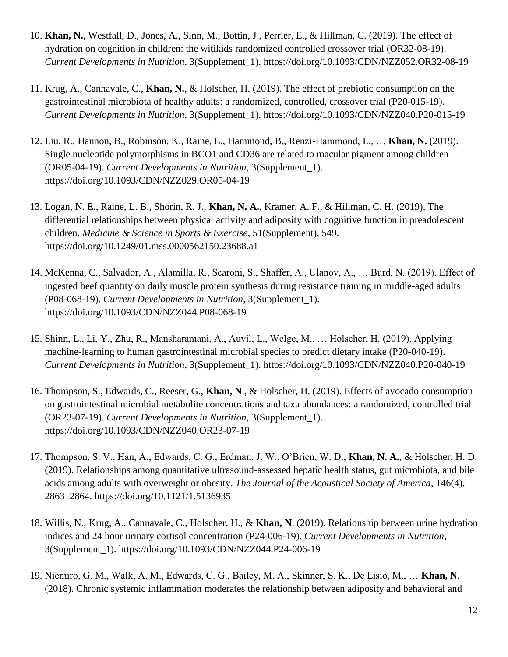- 10. **Khan, N.**, Westfall, D., Jones, A., Sinn, M., Bottin, J., Perrier, E., & Hillman, C. (2019). The effect of hydration on cognition in children: the witikids randomized controlled crossover trial (OR32-08-19). *Current Developments in Nutrition*, 3(Supplement\_1). https://doi.org/10.1093/CDN/NZZ052.OR32-08-19
- 11. Krug, A., Cannavale, C., **Khan, N.**, & Holscher, H. (2019). The effect of prebiotic consumption on the gastrointestinal microbiota of healthy adults: a randomized, controlled, crossover trial (P20-015-19). *Current Developments in Nutrition*, 3(Supplement\_1). https://doi.org/10.1093/CDN/NZZ040.P20-015-19
- 12. Liu, R., Hannon, B., Robinson, K., Raine, L., Hammond, B., Renzi-Hammond, L., … **Khan, N.** (2019). Single nucleotide polymorphisms in BCO1 and CD36 are related to macular pigment among children (OR05-04-19). *Current Developments in Nutrition*, 3(Supplement\_1). https://doi.org/10.1093/CDN/NZZ029.OR05-04-19
- 13. Logan, N. E., Raine, L. B., Shorin, R. J., **Khan, N. A.**, Kramer, A. F., & Hillman, C. H. (2019). The differential relationships between physical activity and adiposity with cognitive function in preadolescent children. *Medicine & Science in Sports & Exercise*, 51(Supplement), 549. https://doi.org/10.1249/01.mss.0000562150.23688.a1
- 14. McKenna, C., Salvador, A., Alamilla, R., Scaroni, S., Shaffer, A., Ulanov, A., … Burd, N. (2019). Effect of ingested beef quantity on daily muscle protein synthesis during resistance training in middle-aged adults (P08-068-19). *Current Developments in Nutrition*, 3(Supplement\_1). https://doi.org/10.1093/CDN/NZZ044.P08-068-19
- 15. Shinn, L., Li, Y., Zhu, R., Mansharamani, A., Auvil, L., Welge, M., … Holscher, H. (2019). Applying machine-learning to human gastrointestinal microbial species to predict dietary intake (P20-040-19). *Current Developments in Nutrition*, 3(Supplement\_1). https://doi.org/10.1093/CDN/NZZ040.P20-040-19
- 16. Thompson, S., Edwards, C., Reeser, G., **Khan, N**., & Holscher, H. (2019). Effects of avocado consumption on gastrointestinal microbial metabolite concentrations and taxa abundances: a randomized, controlled trial (OR23-07-19). *Current Developments in Nutrition*, 3(Supplement\_1). https://doi.org/10.1093/CDN/NZZ040.OR23-07-19
- 17. Thompson, S. V., Han, A., Edwards, C. G., Erdman, J. W., O'Brien, W. D., **Khan, N. A.**, & Holscher, H. D. (2019). Relationships among quantitative ultrasound-assessed hepatic health status, gut microbiota, and bile acids among adults with overweight or obesity. *The Journal of the Acoustical Society of America*, 146(4), 2863–2864. https://doi.org/10.1121/1.5136935
- 18. Willis, N., Krug, A., Cannavale, C., Holscher, H., & **Khan, N**. (2019). Relationship between urine hydration indices and 24 hour urinary cortisol concentration (P24-006-19). *Current Developments in Nutrition*, 3(Supplement\_1). https://doi.org/10.1093/CDN/NZZ044.P24-006-19
- 19. Niemiro, G. M., Walk, A. M., Edwards, C. G., Bailey, M. A., Skinner, S. K., De Lisio, M., … **Khan, N**. (2018). Chronic systemic inflammation moderates the relationship between adiposity and behavioral and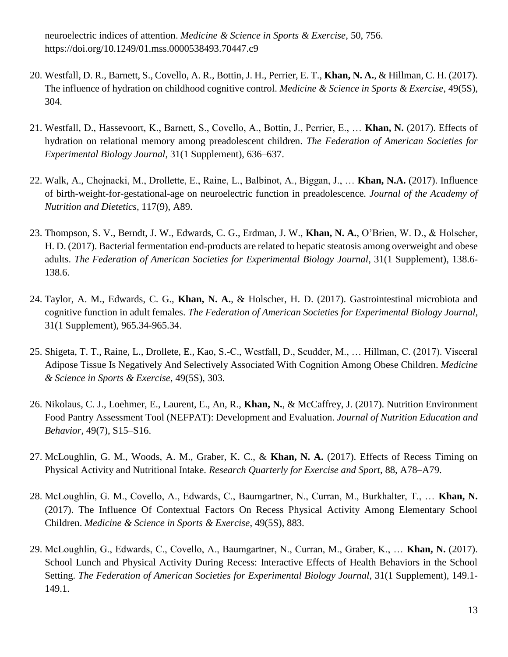neuroelectric indices of attention. *Medicine & Science in Sports & Exercise*, 50, 756. [https://doi.org/10.1249/01.mss.0000538493.70447.c9](https://doi.org/10.1249/01.mss.0000538493.70447.c)

- 20. Westfall, D. R., Barnett, S., Covello, A. R., Bottin, J. H., Perrier, E. T., **Khan, N. A.**, & Hillman, C. H. (2017). The influence of hydration on childhood cognitive control. *Medicine & Science in Sports & Exercise*, 49(5S), 304.
- 21. Westfall, D., Hassevoort, K., Barnett, S., Covello, A., Bottin, J., Perrier, E., … **Khan, N.** (2017). Effects of hydration on relational memory among preadolescent children. *The Federation of American Societies for Experimental Biology Journal*, 31(1 Supplement), 636–637.
- 22. Walk, A., Chojnacki, M., Drollette, E., Raine, L., Balbinot, A., Biggan, J., … **Khan, N.A.** (2017). Influence of birth-weight-for-gestational-age on neuroelectric function in preadolescence*. Journal of the Academy of Nutrition and Dietetics,* 117(9), A89.
- 23. Thompson, S. V., Berndt, J. W., Edwards, C. G., Erdman, J. W., **Khan, N. A.**, O'Brien, W. D., & Holscher, H. D. (2017). Bacterial fermentation end-products are related to hepatic steatosis among overweight and obese adults. *The Federation of American Societies for Experimental Biology Journal*, 31(1 Supplement), 138.6- 138.6.
- 24. Taylor, A. M., Edwards, C. G., **Khan, N. A.**, & Holscher, H. D. (2017). Gastrointestinal microbiota and cognitive function in adult females. *The Federation of American Societies for Experimental Biology Journal*, 31(1 Supplement), 965.34-965.34.
- 25. Shigeta, T. T., Raine, L., Drollete, E., Kao, S.-C., Westfall, D., Scudder, M., … Hillman, C. (2017). Visceral Adipose Tissue Is Negatively And Selectively Associated With Cognition Among Obese Children. *Medicine & Science in Sports & Exercise*, 49(5S), 303.
- 26. Nikolaus, C. J., Loehmer, E., Laurent, E., An, R., **Khan, N.**, & McCaffrey, J. (2017). Nutrition Environment Food Pantry Assessment Tool (NEFPAT): Development and Evaluation. *Journal of Nutrition Education and Behavior*, 49(7), S15–S16.
- 27. McLoughlin, G. M., Woods, A. M., Graber, K. C., & **Khan, N. A.** (2017). Effects of Recess Timing on Physical Activity and Nutritional Intake. *Research Quarterly for Exercise and Sport*, 88, A78–A79.
- 28. McLoughlin, G. M., Covello, A., Edwards, C., Baumgartner, N., Curran, M., Burkhalter, T., … **Khan, N.** (2017). The Influence Of Contextual Factors On Recess Physical Activity Among Elementary School Children. *Medicine & Science in Sports & Exercise*, 49(5S), 883.
- 29. McLoughlin, G., Edwards, C., Covello, A., Baumgartner, N., Curran, M., Graber, K., … **Khan, N.** (2017). School Lunch and Physical Activity During Recess: Interactive Effects of Health Behaviors in the School Setting. *The Federation of American Societies for Experimental Biology Journal*, 31(1 Supplement), 149.1- 149.1.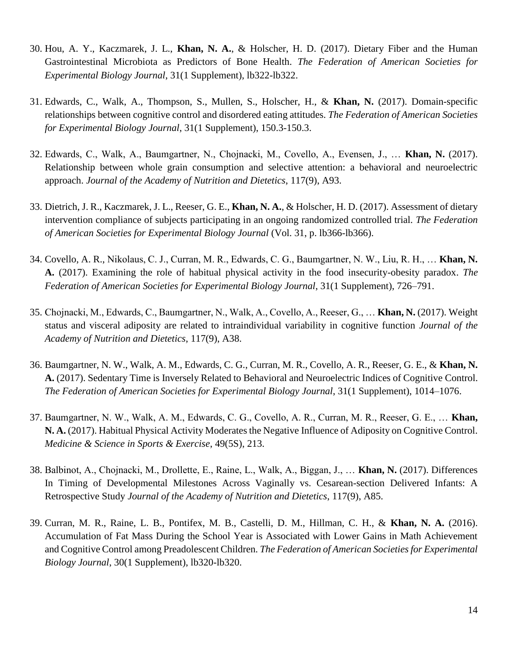- 30. Hou, A. Y., Kaczmarek, J. L., **Khan, N. A.**, & Holscher, H. D. (2017). Dietary Fiber and the Human Gastrointestinal Microbiota as Predictors of Bone Health. *The Federation of American Societies for Experimental Biology Journal*, 31(1 Supplement), lb322-lb322.
- 31. Edwards, C., Walk, A., Thompson, S., Mullen, S., Holscher, H., & **Khan, N.** (2017). Domain-specific relationships between cognitive control and disordered eating attitudes. *The Federation of American Societies for Experimental Biology Journal*, 31(1 Supplement), 150.3-150.3.
- 32. Edwards, C., Walk, A., Baumgartner, N., Chojnacki, M., Covello, A., Evensen, J., … **Khan, N.** (2017). Relationship between whole grain consumption and selective attention: a behavioral and neuroelectric approach. *Journal of the Academy of Nutrition and Dietetics*, 117(9), A93.
- 33. Dietrich, J. R., Kaczmarek, J. L., Reeser, G. E., **Khan, N. A.**, & Holscher, H. D. (2017). Assessment of dietary intervention compliance of subjects participating in an ongoing randomized controlled trial. *The Federation of American Societies for Experimental Biology Journal* (Vol. 31, p. lb366-lb366).
- 34. Covello, A. R., Nikolaus, C. J., Curran, M. R., Edwards, C. G., Baumgartner, N. W., Liu, R. H., … **Khan, N. A.** (2017). Examining the role of habitual physical activity in the food insecurity-obesity paradox. *The Federation of American Societies for Experimental Biology Journal*, 31(1 Supplement), 726–791.
- 35. Chojnacki, M., Edwards, C., Baumgartner, N., Walk, A., Covello, A., Reeser, G., … **Khan, N.** (2017). Weight status and visceral adiposity are related to intraindividual variability in cognitive function *Journal of the Academy of Nutrition and Dietetics*, 117(9), A38.
- 36. Baumgartner, N. W., Walk, A. M., Edwards, C. G., Curran, M. R., Covello, A. R., Reeser, G. E., & **Khan, N. A.** (2017). Sedentary Time is Inversely Related to Behavioral and Neuroelectric Indices of Cognitive Control. *The Federation of American Societies for Experimental Biology Journal*, 31(1 Supplement), 1014–1076.
- 37. Baumgartner, N. W., Walk, A. M., Edwards, C. G., Covello, A. R., Curran, M. R., Reeser, G. E., … **Khan, N. A.** (2017). Habitual Physical Activity Moderates the Negative Influence of Adiposity on Cognitive Control. *Medicine & Science in Sports & Exercise*, 49(5S), 213.
- 38. Balbinot, A., Chojnacki, M., Drollette, E., Raine, L., Walk, A., Biggan, J., … **Khan, N.** (2017). Differences In Timing of Developmental Milestones Across Vaginally vs. Cesarean-section Delivered Infants: A Retrospective Study *Journal of the Academy of Nutrition and Dietetics*, 117(9), A85.
- 39. Curran, M. R., Raine, L. B., Pontifex, M. B., Castelli, D. M., Hillman, C. H., & **Khan, N. A.** (2016). Accumulation of Fat Mass During the School Year is Associated with Lower Gains in Math Achievement and Cognitive Control among Preadolescent Children. *The Federation of American Societies for Experimental Biology Journal*, 30(1 Supplement), lb320-lb320.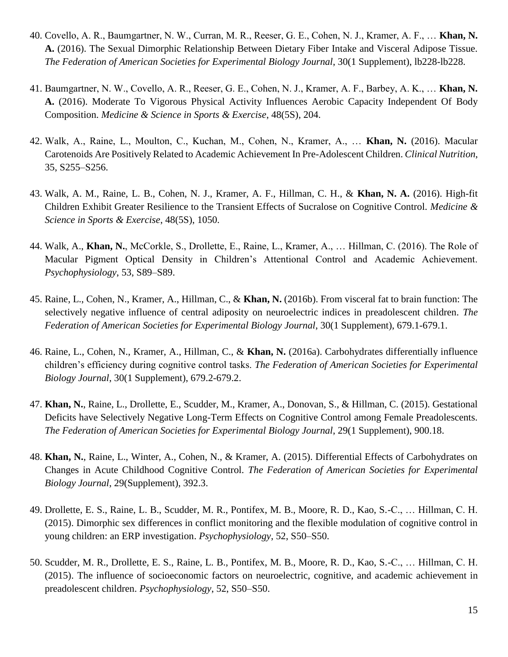- 40. Covello, A. R., Baumgartner, N. W., Curran, M. R., Reeser, G. E., Cohen, N. J., Kramer, A. F., … **Khan, N. A.** (2016). The Sexual Dimorphic Relationship Between Dietary Fiber Intake and Visceral Adipose Tissue. *The Federation of American Societies for Experimental Biology Journal*, 30(1 Supplement), lb228-lb228.
- 41. Baumgartner, N. W., Covello, A. R., Reeser, G. E., Cohen, N. J., Kramer, A. F., Barbey, A. K., … **Khan, N. A.** (2016). Moderate To Vigorous Physical Activity Influences Aerobic Capacity Independent Of Body Composition. *Medicine & Science in Sports & Exercise*, 48(5S), 204.
- 42. Walk, A., Raine, L., Moulton, C., Kuchan, M., Cohen, N., Kramer, A., … **Khan, N.** (2016). Macular Carotenoids Are Positively Related to Academic Achievement In Pre-Adolescent Children. *Clinical Nutrition*, 35, S255–S256.
- 43. Walk, A. M., Raine, L. B., Cohen, N. J., Kramer, A. F., Hillman, C. H., & **Khan, N. A.** (2016). High-fit Children Exhibit Greater Resilience to the Transient Effects of Sucralose on Cognitive Control. *Medicine & Science in Sports & Exercise*, 48(5S), 1050.
- 44. Walk, A., **Khan, N.**, McCorkle, S., Drollette, E., Raine, L., Kramer, A., … Hillman, C. (2016). The Role of Macular Pigment Optical Density in Children's Attentional Control and Academic Achievement. *Psychophysiology*, 53, S89–S89.
- 45. Raine, L., Cohen, N., Kramer, A., Hillman, C., & **Khan, N.** (2016b). From visceral fat to brain function: The selectively negative influence of central adiposity on neuroelectric indices in preadolescent children. *The Federation of American Societies for Experimental Biology Journal*, 30(1 Supplement), 679.1-679.1.
- 46. Raine, L., Cohen, N., Kramer, A., Hillman, C., & **Khan, N.** (2016a). Carbohydrates differentially influence children's efficiency during cognitive control tasks. *The Federation of American Societies for Experimental Biology Journal*, 30(1 Supplement), 679.2-679.2.
- 47. **Khan, N.**, Raine, L., Drollette, E., Scudder, M., Kramer, A., Donovan, S., & Hillman, C. (2015). Gestational Deficits have Selectively Negative Long-Term Effects on Cognitive Control among Female Preadolescents. *The Federation of American Societies for Experimental Biology Journal*, 29(1 Supplement), 900.18.
- 48. **Khan, N.**, Raine, L., Winter, A., Cohen, N., & Kramer, A. (2015). Differential Effects of Carbohydrates on Changes in Acute Childhood Cognitive Control. *The Federation of American Societies for Experimental Biology Journal*, 29(Supplement), 392.3.
- 49. Drollette, E. S., Raine, L. B., Scudder, M. R., Pontifex, M. B., Moore, R. D., Kao, S.-C., … Hillman, C. H. (2015). Dimorphic sex differences in conflict monitoring and the flexible modulation of cognitive control in young children: an ERP investigation. *Psychophysiology*, 52, S50–S50.
- 50. Scudder, M. R., Drollette, E. S., Raine, L. B., Pontifex, M. B., Moore, R. D., Kao, S.-C., … Hillman, C. H. (2015). The influence of socioeconomic factors on neuroelectric, cognitive, and academic achievement in preadolescent children. *Psychophysiology*, 52, S50–S50.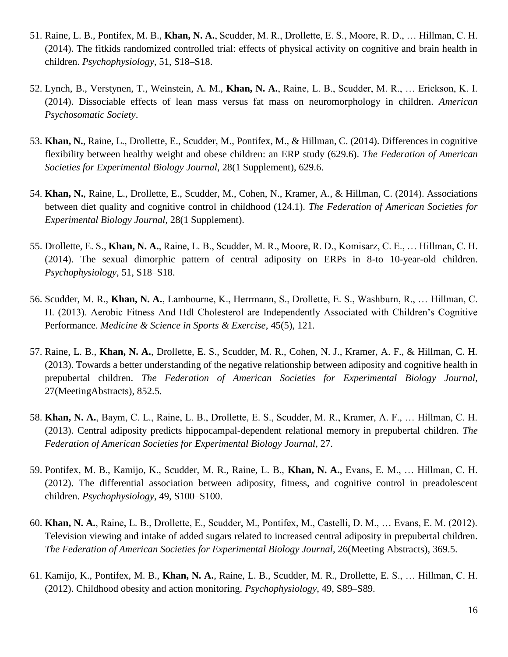- 51. Raine, L. B., Pontifex, M. B., **Khan, N. A.**, Scudder, M. R., Drollette, E. S., Moore, R. D., … Hillman, C. H. (2014). The fitkids randomized controlled trial: effects of physical activity on cognitive and brain health in children. *Psychophysiology*, 51, S18–S18.
- 52. Lynch, B., Verstynen, T., Weinstein, A. M., **Khan, N. A.**, Raine, L. B., Scudder, M. R., … Erickson, K. I. (2014). Dissociable effects of lean mass versus fat mass on neuromorphology in children. *American Psychosomatic Society*.
- 53. **Khan, N.**, Raine, L., Drollette, E., Scudder, M., Pontifex, M., & Hillman, C. (2014). Differences in cognitive flexibility between healthy weight and obese children: an ERP study (629.6). *The Federation of American Societies for Experimental Biology Journal*, 28(1 Supplement), 629.6.
- 54. **Khan, N.**, Raine, L., Drollette, E., Scudder, M., Cohen, N., Kramer, A., & Hillman, C. (2014). Associations between diet quality and cognitive control in childhood (124.1). *The Federation of American Societies for Experimental Biology Journal*, 28(1 Supplement).
- 55. Drollette, E. S., **Khan, N. A.**, Raine, L. B., Scudder, M. R., Moore, R. D., Komisarz, C. E., … Hillman, C. H. (2014). The sexual dimorphic pattern of central adiposity on ERPs in 8-to 10-year-old children. *Psychophysiology*, 51, S18–S18.
- 56. Scudder, M. R., **Khan, N. A.**, Lambourne, K., Herrmann, S., Drollette, E. S., Washburn, R., … Hillman, C. H. (2013). Aerobic Fitness And Hdl Cholesterol are Independently Associated with Children's Cognitive Performance. *Medicine & Science in Sports & Exercise*, 45(5), 121.
- 57. Raine, L. B., **Khan, N. A.**, Drollette, E. S., Scudder, M. R., Cohen, N. J., Kramer, A. F., & Hillman, C. H. (2013). Towards a better understanding of the negative relationship between adiposity and cognitive health in prepubertal children. *The Federation of American Societies for Experimental Biology Journal*, 27(MeetingAbstracts), 852.5.
- 58. **Khan, N. A.**, Baym, C. L., Raine, L. B., Drollette, E. S., Scudder, M. R., Kramer, A. F., … Hillman, C. H. (2013). Central adiposity predicts hippocampal-dependent relational memory in prepubertal children. *The Federation of American Societies for Experimental Biology Journal*, 27.
- 59. Pontifex, M. B., Kamijo, K., Scudder, M. R., Raine, L. B., **Khan, N. A.**, Evans, E. M., … Hillman, C. H. (2012). The differential association between adiposity, fitness, and cognitive control in preadolescent children. *Psychophysiology*, 49, S100–S100.
- 60. **Khan, N. A.**, Raine, L. B., Drollette, E., Scudder, M., Pontifex, M., Castelli, D. M., … Evans, E. M. (2012). Television viewing and intake of added sugars related to increased central adiposity in prepubertal children. *The Federation of American Societies for Experimental Biology Journal*, 26(Meeting Abstracts), 369.5.
- 61. Kamijo, K., Pontifex, M. B., **Khan, N. A.**, Raine, L. B., Scudder, M. R., Drollette, E. S., … Hillman, C. H. (2012). Childhood obesity and action monitoring. *Psychophysiology*, 49, S89–S89.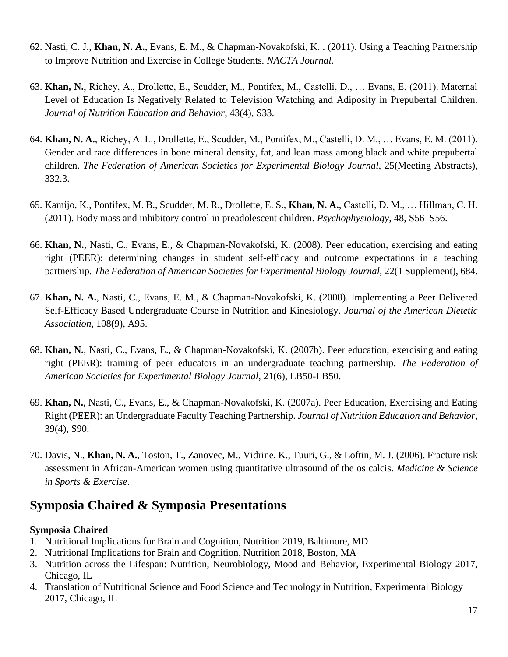- 62. Nasti, C. J., **Khan, N. A.**, Evans, E. M., & Chapman-Novakofski, K. . (2011). Using a Teaching Partnership to Improve Nutrition and Exercise in College Students. *NACTA Journal*.
- 63. **Khan, N.**, Richey, A., Drollette, E., Scudder, M., Pontifex, M., Castelli, D., … Evans, E. (2011). Maternal Level of Education Is Negatively Related to Television Watching and Adiposity in Prepubertal Children. *Journal of Nutrition Education and Behavior*, 43(4), S33.
- 64. **Khan, N. A.**, Richey, A. L., Drollette, E., Scudder, M., Pontifex, M., Castelli, D. M., … Evans, E. M. (2011). Gender and race differences in bone mineral density, fat, and lean mass among black and white prepubertal children. *The Federation of American Societies for Experimental Biology Journal*, 25(Meeting Abstracts), 332.3.
- 65. Kamijo, K., Pontifex, M. B., Scudder, M. R., Drollette, E. S., **Khan, N. A.**, Castelli, D. M., … Hillman, C. H. (2011). Body mass and inhibitory control in preadolescent children. *Psychophysiology*, 48, S56–S56.
- 66. **Khan, N.**, Nasti, C., Evans, E., & Chapman-Novakofski, K. (2008). Peer education, exercising and eating right (PEER): determining changes in student self-efficacy and outcome expectations in a teaching partnership*. The Federation of American Societies for Experimental Biology Journal*, 22(1 Supplement), 684.
- 67. **Khan, N. A.**, Nasti, C., Evans, E. M., & Chapman-Novakofski, K. (2008). Implementing a Peer Delivered Self-Efficacy Based Undergraduate Course in Nutrition and Kinesiology. *Journal of the American Dietetic Association*, 108(9), A95.
- 68. **Khan, N.**, Nasti, C., Evans, E., & Chapman-Novakofski, K. (2007b). Peer education, exercising and eating right (PEER): training of peer educators in an undergraduate teaching partnership. *The Federation of American Societies for Experimental Biology Journal*, 21(6), LB50-LB50.
- 69. **Khan, N.**, Nasti, C., Evans, E., & Chapman-Novakofski, K. (2007a). Peer Education, Exercising and Eating Right (PEER): an Undergraduate Faculty Teaching Partnership. *Journal of Nutrition Education and Behavior*, 39(4), S90.
- 70. Davis, N., **Khan, N. A.**, Toston, T., Zanovec, M., Vidrine, K., Tuuri, G., & Loftin, M. J. (2006). Fracture risk assessment in African-American women using quantitative ultrasound of the os calcis. *Medicine & Science in Sports & Exercise*.

## **Symposia Chaired & Symposia Presentations**

#### **Symposia Chaired**

- 1. Nutritional Implications for Brain and Cognition, Nutrition 2019, Baltimore, MD
- 2. Nutritional Implications for Brain and Cognition, Nutrition 2018, Boston, MA
- 3. Nutrition across the Lifespan: Nutrition, Neurobiology, Mood and Behavior, Experimental Biology 2017, Chicago, IL
- 4. Translation of Nutritional Science and Food Science and Technology in Nutrition, Experimental Biology 2017, Chicago, IL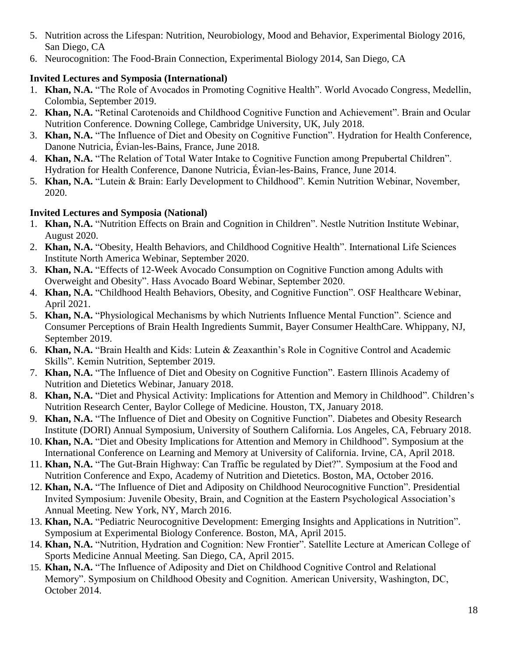- 5. Nutrition across the Lifespan: Nutrition, Neurobiology, Mood and Behavior, Experimental Biology 2016, San Diego, CA
- 6. Neurocognition: The Food-Brain Connection, Experimental Biology 2014, San Diego, CA

### **Invited Lectures and Symposia (International)**

- 1. **Khan, N.A.** "The Role of Avocados in Promoting Cognitive Health". World Avocado Congress, Medellin, Colombia, September 2019.
- 2. **Khan, N.A.** "Retinal Carotenoids and Childhood Cognitive Function and Achievement". Brain and Ocular Nutrition Conference. Downing College, Cambridge University, UK, July 2018.
- 3. **Khan, N.A.** "The Influence of Diet and Obesity on Cognitive Function". Hydration for Health Conference, Danone Nutricia, Évian-les-Bains, France, June 2018.
- 4. **Khan, N.A.** "The Relation of Total Water Intake to Cognitive Function among Prepubertal Children". Hydration for Health Conference, Danone Nutricia, Évian-les-Bains, France, June 2014.
- 5. **Khan, N.A.** "Lutein & Brain: Early Development to Childhood". Kemin Nutrition Webinar, November, 2020.

### **Invited Lectures and Symposia (National)**

- 1. **Khan, N.A.** "Nutrition Effects on Brain and Cognition in Children". Nestle Nutrition Institute Webinar, August 2020.
- 2. **Khan, N.A.** "Obesity, Health Behaviors, and Childhood Cognitive Health". International Life Sciences Institute North America Webinar, September 2020.
- 3. **Khan, N.A.** "Effects of 12-Week Avocado Consumption on Cognitive Function among Adults with Overweight and Obesity". Hass Avocado Board Webinar, September 2020.
- 4. **Khan, N.A.** "Childhood Health Behaviors, Obesity, and Cognitive Function". OSF Healthcare Webinar, April 2021.
- 5. **Khan, N.A.** "Physiological Mechanisms by which Nutrients Influence Mental Function". Science and Consumer Perceptions of Brain Health Ingredients Summit, Bayer Consumer HealthCare. Whippany, NJ, September 2019.
- 6. **Khan, N.A.** "Brain Health and Kids: Lutein & Zeaxanthin's Role in Cognitive Control and Academic Skills". Kemin Nutrition, September 2019.
- 7. **Khan, N.A.** "The Influence of Diet and Obesity on Cognitive Function". Eastern Illinois Academy of Nutrition and Dietetics Webinar, January 2018.
- 8. **Khan, N.A.** "Diet and Physical Activity: Implications for Attention and Memory in Childhood". Children's Nutrition Research Center, Baylor College of Medicine. Houston, TX, January 2018.
- 9. **Khan, N.A.** "The Influence of Diet and Obesity on Cognitive Function". Diabetes and Obesity Research Institute (DORI) Annual Symposium, University of Southern California. Los Angeles, CA, February 2018.
- 10. **Khan, N.A.** "Diet and Obesity Implications for Attention and Memory in Childhood". Symposium at the International Conference on Learning and Memory at University of California. Irvine, CA, April 2018.
- 11. **Khan, N.A.** "The Gut-Brain Highway: Can Traffic be regulated by Diet?". Symposium at the Food and Nutrition Conference and Expo, Academy of Nutrition and Dietetics. Boston, MA, October 2016.
- 12. **Khan, N.A.** "The Influence of Diet and Adiposity on Childhood Neurocognitive Function". Presidential Invited Symposium: Juvenile Obesity, Brain, and Cognition at the Eastern Psychological Association's Annual Meeting. New York, NY, March 2016.
- 13. **Khan, N.A.** "Pediatric Neurocognitive Development: Emerging Insights and Applications in Nutrition". Symposium at Experimental Biology Conference. Boston, MA, April 2015.
- 14. **Khan, N.A.** "Nutrition, Hydration and Cognition: New Frontier". Satellite Lecture at American College of Sports Medicine Annual Meeting. San Diego, CA, April 2015.
- 15. **Khan, N.A.** "The Influence of Adiposity and Diet on Childhood Cognitive Control and Relational Memory". Symposium on Childhood Obesity and Cognition. American University, Washington, DC, October 2014.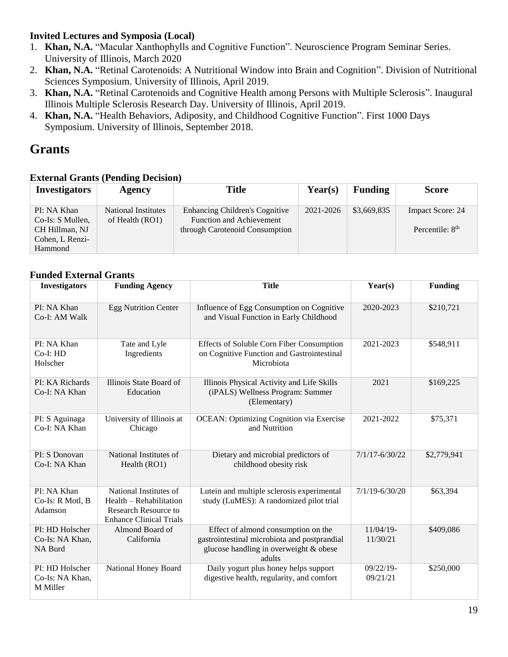### **Invited Lectures and Symposia (Local)**

- 1. **Khan, N.A.** "Macular Xanthophylls and Cognitive Function". Neuroscience Program Seminar Series. University of Illinois, March 2020
- 2. **Khan, N.A.** "Retinal Carotenoids: A Nutritional Window into Brain and Cognition". Division of Nutritional Sciences Symposium. University of Illinois, April 2019.
- 3. **Khan, N.A.** "Retinal Carotenoids and Cognitive Health among Persons with Multiple Sclerosis". Inaugural Illinois Multiple Sclerosis Research Day. University of Illinois, April 2019.
- 4. **Khan, N.A.** "Health Behaviors, Adiposity, and Childhood Cognitive Function". First 1000 Days Symposium. University of Illinois, September 2018.

## **Grants**

### **External Grants (Pending Decision)**

| <b>Investigators</b>                                                            | <b>Agency</b>                                 | <b>Title</b>                                                                                               | $\text{Year}(s)$ | <b>Funding</b> | <b>Score</b>                          |
|---------------------------------------------------------------------------------|-----------------------------------------------|------------------------------------------------------------------------------------------------------------|------------------|----------------|---------------------------------------|
| PI: NA Khan<br>Co-Is: S Mullen,<br>CH Hillman, NJ<br>Cohen, L Renzi-<br>Hammond | <b>National Institutes</b><br>of Health (RO1) | <b>Enhancing Children's Cognitive</b><br><b>Function and Achievement</b><br>through Carotenoid Consumption | 2021-2026        | \$3,669,835    | Impact Score: 24<br>Percentile: $8th$ |

#### **Funded External Grants**

| <b>Investigators</b>                           | <b>Funding Agency</b>                                                                                              | <b>Title</b>                                                                                                                            | Year(s)                  | <b>Funding</b> |
|------------------------------------------------|--------------------------------------------------------------------------------------------------------------------|-----------------------------------------------------------------------------------------------------------------------------------------|--------------------------|----------------|
| PI: NA Khan<br>Co-I: AM Walk                   | <b>Egg Nutrition Center</b>                                                                                        | Influence of Egg Consumption on Cognitive<br>and Visual Function in Early Childhood                                                     | 2020-2023                | \$210,721      |
| PI: NA Khan<br>$Co-I: HD$<br>Holscher          | Tate and Lyle<br>Ingredients                                                                                       | Effects of Soluble Corn Fiber Consumption<br>on Cognitive Function and Gastrointestinal<br>Microbiota                                   | 2021-2023                | \$548,911      |
| PI: KA Richards<br>Co-I: NA Khan               | Illinois State Board of<br>Education                                                                               | Illinois Physical Activity and Life Skills<br>(iPALS) Wellness Program: Summer<br>(Elementary)                                          | 2021                     | \$169,225      |
| PI: S Aguinaga<br>Co-I: NA Khan                | University of Illinois at<br>Chicago                                                                               | <b>OCEAN: Optimizing Cognition via Exercise</b><br>and Nutrition                                                                        | 2021-2022                | \$75,371       |
| PI: S Donovan<br>Co-I: NA Khan                 | National Institutes of<br>Health (RO1)                                                                             | Dietary and microbial predictors of<br>childhood obesity risk                                                                           | $7/1/17 - 6/30/22$       | \$2,779,941    |
| PI: NA Khan<br>Co-Is: R Motl, B<br>Adamson     | National Institutes of<br>Health - Rehabilitation<br><b>Research Resource to</b><br><b>Enhance Clinical Trials</b> | Lutein and multiple sclerosis experimental<br>study (LuMES): A randomized pilot trial                                                   | $7/1/19 - 6/30/20$       | \$63,394       |
| PI: HD Holscher<br>Co-Is: NA Khan,<br>NA Burd  | Almond Board of<br>California                                                                                      | Effect of almond consumption on the<br>gastrointestinal microbiota and postprandial<br>glucose handling in overweight & obese<br>adults | $11/04/19$ -<br>11/30/21 | \$409,086      |
| PI: HD Holscher<br>Co-Is: NA Khan,<br>M Miller | National Honey Board                                                                                               | Daily yogurt plus honey helps support<br>digestive health, regularity, and comfort                                                      | $09/22/19$ -<br>09/21/21 | \$250,000      |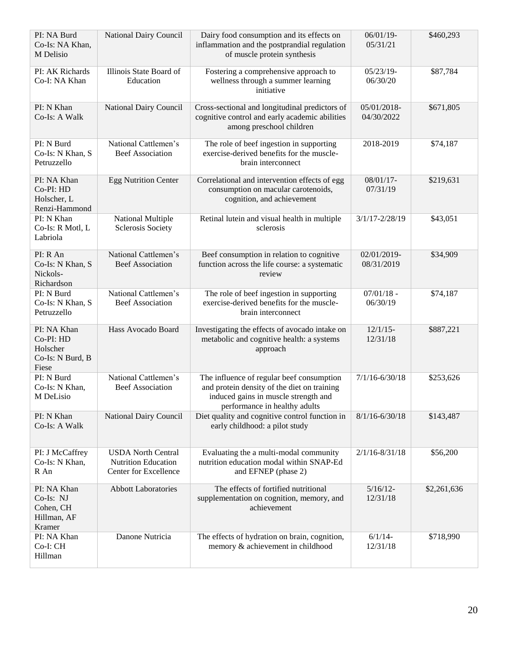| PI: NA Burd<br>Co-Is: NA Khan,<br>M Delisio                       | National Dairy Council                                                           | Dairy food consumption and its effects on<br>inflammation and the postprandial regulation<br>of muscle protein synthesis                                          | 06/01/19-<br>05/31/21     | \$460,293   |
|-------------------------------------------------------------------|----------------------------------------------------------------------------------|-------------------------------------------------------------------------------------------------------------------------------------------------------------------|---------------------------|-------------|
| PI: AK Richards<br>Co-I: NA Khan                                  | Illinois State Board of<br>Education                                             | Fostering a comprehensive approach to<br>wellness through a summer learning<br>initiative                                                                         | $05/23/19-$<br>06/30/20   | \$87,784    |
| PI: N Khan<br>Co-Is: A Walk                                       | National Dairy Council                                                           | Cross-sectional and longitudinal predictors of<br>cognitive control and early academic abilities<br>among preschool children                                      | 05/01/2018-<br>04/30/2022 | \$671,805   |
| PI: N Burd<br>Co-Is: N Khan, S<br>Petruzzello                     | National Cattlemen's<br><b>Beef Association</b>                                  | The role of beef ingestion in supporting<br>exercise-derived benefits for the muscle-<br>brain interconnect                                                       | 2018-2019                 | \$74,187    |
| PI: NA Khan<br>Co-PI: HD<br>Holscher, L<br>Renzi-Hammond          | <b>Egg Nutrition Center</b>                                                      | Correlational and intervention effects of egg<br>consumption on macular carotenoids,<br>cognition, and achievement                                                | 08/01/17-<br>07/31/19     | \$219,631   |
| PI: N Khan<br>Co-Is: R Motl, L<br>Labriola                        | <b>National Multiple</b><br><b>Sclerosis Society</b>                             | Retinal lutein and visual health in multiple<br>sclerosis                                                                                                         | $3/1/17 - 2/28/19$        | \$43,051    |
| PI: R An<br>Co-Is: N Khan, S<br>Nickols-<br>Richardson            | National Cattlemen's<br><b>Beef Association</b>                                  | Beef consumption in relation to cognitive<br>function across the life course: a systematic<br>review                                                              | 02/01/2019-<br>08/31/2019 | \$34,909    |
| PI: N Burd<br>Co-Is: N Khan, S<br>Petruzzello                     | National Cattlemen's<br><b>Beef Association</b>                                  | The role of beef ingestion in supporting<br>exercise-derived benefits for the muscle-<br>brain interconnect                                                       | $07/01/18$ -<br>06/30/19  | \$74,187    |
| PI: NA Khan<br>Co-PI: HD<br>Holscher<br>Co-Is: N Burd, B<br>Fiese | Hass Avocado Board                                                               | Investigating the effects of avocado intake on<br>metabolic and cognitive health: a systems<br>approach                                                           | $12/1/15$ -<br>12/31/18   | \$887,221   |
| PI: N Burd<br>Co-Is: N Khan,<br>M DeLisio                         | National Cattlemen's<br><b>Beef Association</b>                                  | The influence of regular beef consumption<br>and protein density of the diet on training<br>induced gains in muscle strength and<br>performance in healthy adults | $7/1/16 - 6/30/18$        | \$253,626   |
| PI: N Khan<br>Co-Is: A Walk                                       | National Dairy Council                                                           | Diet quality and cognitive control function in<br>early childhood: a pilot study                                                                                  | $8/1/16 - 6/30/18$        | \$143,487   |
| PI: J McCaffrey<br>Co-Is: N Khan,<br>R An                         | <b>USDA</b> North Central<br><b>Nutrition Education</b><br>Center for Excellence | Evaluating the a multi-modal community<br>nutrition education modal within SNAP-Ed<br>and EFNEP (phase 2)                                                         | $2/1/16 - 8/31/18$        | \$56,200    |
| PI: NA Khan<br>Co-Is: NJ<br>Cohen, CH<br>Hillman, AF<br>Kramer    | <b>Abbott Laboratories</b>                                                       | The effects of fortified nutritional<br>supplementation on cognition, memory, and<br>achievement                                                                  | $5/16/12-$<br>12/31/18    | \$2,261,636 |
| PI: NA Khan<br>Co-I: CH<br>Hillman                                | Danone Nutricia                                                                  | The effects of hydration on brain, cognition,<br>memory & achievement in childhood                                                                                | $6/1/14-$<br>12/31/18     | \$718,990   |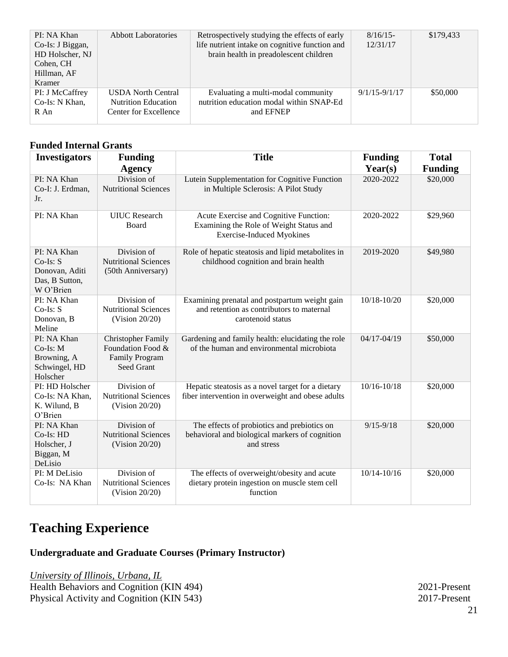| PI: NA Khan<br>Co-Is: J Biggan,<br>HD Holscher, NJ<br>Cohen, CH<br>Hillman, AF<br>Kramer | <b>Abbott Laboratories</b>                                                       | Retrospectively studying the effects of early<br>life nutrient intake on cognitive function and<br>brain health in preadolescent children | $8/16/15$ -<br>12/31/17 | \$179.433 |
|------------------------------------------------------------------------------------------|----------------------------------------------------------------------------------|-------------------------------------------------------------------------------------------------------------------------------------------|-------------------------|-----------|
| PI: J McCaffrey<br>Co-Is: N Khan,<br>R An                                                | <b>USDA</b> North Central<br><b>Nutrition Education</b><br>Center for Excellence | Evaluating a multi-modal community<br>nutrition education modal within SNAP-Ed<br>and EFNEP                                               | $9/1/15 - 9/1/17$       | \$50,000  |

### **Funded Internal Grants**

| <b>Investigators</b>                                                       | <b>Funding</b><br><b>Agency</b>                                                       | <b>Title</b>                                                                                                          | <b>Funding</b><br>Year(s) | <b>Total</b><br><b>Funding</b> |
|----------------------------------------------------------------------------|---------------------------------------------------------------------------------------|-----------------------------------------------------------------------------------------------------------------------|---------------------------|--------------------------------|
| PI: NA Khan<br>Co-I: J. Erdman,<br>Jr.                                     | Division of<br><b>Nutritional Sciences</b>                                            | Lutein Supplementation for Cognitive Function<br>in Multiple Sclerosis: A Pilot Study                                 | 2020-2022                 | \$20,000                       |
| PI: NA Khan                                                                | <b>UIUC</b> Research<br>Board                                                         | Acute Exercise and Cognitive Function:<br>Examining the Role of Weight Status and<br><b>Exercise-Induced Myokines</b> | 2020-2022                 | \$29,960                       |
| PI: NA Khan<br>$Co-Is: S$<br>Donovan, Aditi<br>Das, B Sutton,<br>W O'Brien | Division of<br><b>Nutritional Sciences</b><br>(50th Anniversary)                      | Role of hepatic steatosis and lipid metabolites in<br>childhood cognition and brain health                            | 2019-2020                 | \$49,980                       |
| PI: NA Khan<br>$Co-Is: S$<br>Donovan, B<br>Meline                          | Division of<br><b>Nutritional Sciences</b><br>(Vision $20/20$ )                       | Examining prenatal and postpartum weight gain<br>and retention as contributors to maternal<br>carotenoid status       | 10/18-10/20               | \$20,000                       |
| PI: NA Khan<br>$Co-Is$ : M<br>Browning, A<br>Schwingel, HD<br>Holscher     | <b>Christopher Family</b><br>Foundation Food &<br><b>Family Program</b><br>Seed Grant | Gardening and family health: elucidating the role<br>of the human and environmental microbiota                        | $04/17 - 04/19$           | \$50,000                       |
| PI: HD Holscher<br>Co-Is: NA Khan,<br>K. Wilund, B<br>O'Brien              | Division of<br><b>Nutritional Sciences</b><br>(Vision $20/20$ )                       | Hepatic steatosis as a novel target for a dietary<br>fiber intervention in overweight and obese adults                | $10/16 - 10/18$           | \$20,000                       |
| PI: NA Khan<br>Co-Is: HD<br>Holscher, J<br>Biggan, M<br>DeLisio            | Division of<br><b>Nutritional Sciences</b><br>(Vision 20/20)                          | The effects of probiotics and prebiotics on<br>behavioral and biological markers of cognition<br>and stress           | $9/15 - 9/18$             | \$20,000                       |
| PI: M DeLisio<br>Co-Is: NA Khan                                            | Division of<br><b>Nutritional Sciences</b><br>(Vision $20/20$ )                       | The effects of overweight/obesity and acute<br>dietary protein ingestion on muscle stem cell<br>function              | $10/14 - 10/16$           | \$20,000                       |

## **Teaching Experience**

### **Undergraduate and Graduate Courses (Primary Instructor)**

*University of Illinois, Urbana, IL* Health Behaviors and Cognition (KIN 494) 2021-Present Physical Activity and Cognition (KIN 543) 2017-Present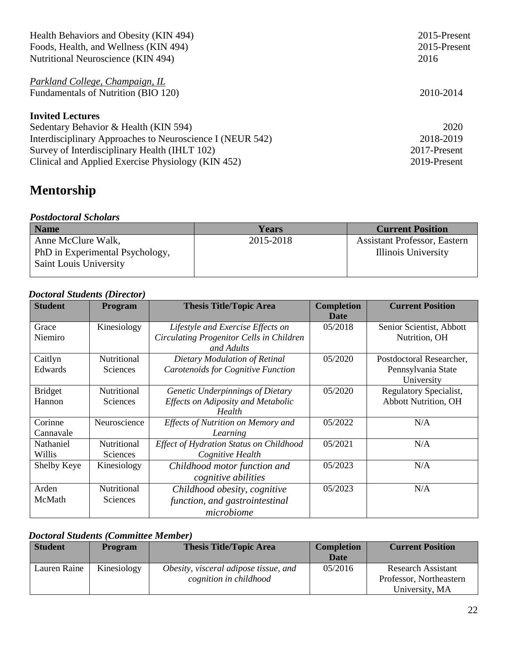| Health Behaviors and Obesity (KIN 494)<br>Foods, Health, and Wellness (KIN 494) | 2015-Present<br>2015-Present |
|---------------------------------------------------------------------------------|------------------------------|
| Nutritional Neuroscience (KIN 494)                                              | 2016                         |
| Parkland College, Champaign, IL<br>Fundamentals of Nutrition (BIO 120)          | 2010-2014                    |
| <b>Invited Lectures</b>                                                         |                              |
| Sedentary Behavior & Health (KIN 594)                                           | 2020                         |
| Interdisciplinary Approaches to Neuroscience I (NEUR 542)                       | 2018-2019                    |
| Survey of Interdisciplinary Health (IHLT 102)                                   | 2017-Present                 |
| Clinical and Applied Exercise Physiology (KIN 452)                              | 2019-Present                 |

# **Mentorship**

## *Postdoctoral Scholars*

| <b>Name</b>                     | <b>Years</b> | <b>Current Position</b>      |
|---------------------------------|--------------|------------------------------|
| Anne McClure Walk,              | 2015-2018    | Assistant Professor, Eastern |
| PhD in Experimental Psychology, |              | Illinois University          |
| Saint Louis University          |              |                              |
|                                 |              |                              |

## *Doctoral Students (Director)*

| <b>Student</b> | <b>Program</b> | <b>Thesis Title/Topic Area</b>            | <b>Completion</b><br><b>Date</b> | <b>Current Position</b>     |
|----------------|----------------|-------------------------------------------|----------------------------------|-----------------------------|
| Grace          | Kinesiology    | Lifestyle and Exercise Effects on         | 05/2018                          | Senior Scientist, Abbott    |
| Niemiro        |                | Circulating Progenitor Cells in Children  |                                  | Nutrition, OH               |
|                |                | and Adults                                |                                  |                             |
| Caitlyn        | Nutritional    | Dietary Modulation of Retinal             | 05/2020                          | Postdoctoral Researcher,    |
| Edwards        | Sciences       | Carotenoids for Cognitive Function        |                                  | Pennsylvania State          |
|                |                |                                           |                                  | University                  |
| <b>Bridget</b> | Nutritional    | Genetic Underpinnings of Dietary          | 05/2020                          | Regulatory Specialist,      |
| Hannon         | Sciences       | <b>Effects on Adiposity and Metabolic</b> |                                  | <b>Abbott Nutrition, OH</b> |
|                |                | Health                                    |                                  |                             |
| Corinne        | Neuroscience   | Effects of Nutrition on Memory and        | 05/2022                          | N/A                         |
| Cannavale      |                | Learning                                  |                                  |                             |
| Nathaniel      | Nutritional    | Effect of Hydration Status on Childhood   | 05/2021                          | N/A                         |
| Willis         | Sciences       | Cognitive Health                          |                                  |                             |
| Shelby Keye    | Kinesiology    | Childhood motor function and              | 05/2023                          | N/A                         |
|                |                | cognitive abilities                       |                                  |                             |
| Arden          | Nutritional    | Childhood obesity, cognitive              | 05/2023                          | N/A                         |
| McMath         | Sciences       | function, and gastrointestinal            |                                  |                             |
|                |                | microbiome                                |                                  |                             |

### *Doctoral Students (Committee Member)*

| <b>Student</b> | <b>Program</b> | <b>Thesis Title/Topic Area</b>        | <b>Completion</b> | <b>Current Position</b>   |
|----------------|----------------|---------------------------------------|-------------------|---------------------------|
|                |                |                                       | <b>Date</b>       |                           |
| Lauren Raine   | Kinesiology    | Obesity, visceral adipose tissue, and | 05/2016           | <b>Research Assistant</b> |
|                |                | cognition in childhood                |                   | Professor, Northeastern   |
|                |                |                                       |                   | University, MA            |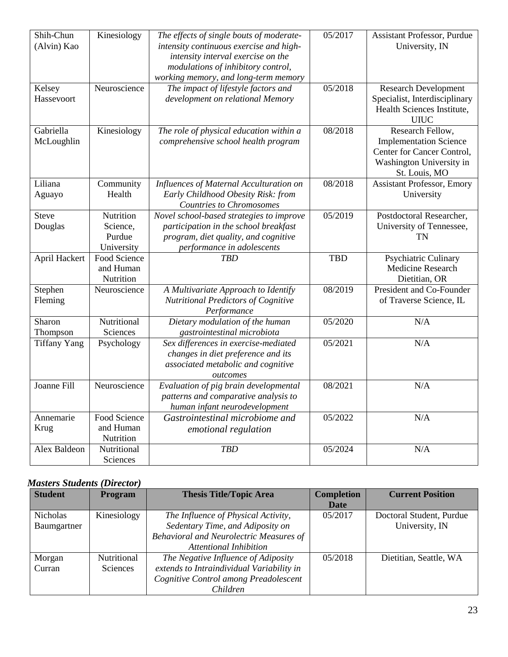| Shih-Chun           | Kinesiology         | The effects of single bouts of moderate- | 05/2017    | Assistant Professor, Purdue       |
|---------------------|---------------------|------------------------------------------|------------|-----------------------------------|
| (Alvin) Kao         |                     | intensity continuous exercise and high-  |            | University, IN                    |
|                     |                     | intensity interval exercise on the       |            |                                   |
|                     |                     | modulations of inhibitory control,       |            |                                   |
|                     |                     | working memory, and long-term memory     |            |                                   |
| Kelsey              | Neuroscience        | The impact of lifestyle factors and      | 05/2018    | <b>Research Development</b>       |
| Hassevoort          |                     | development on relational Memory         |            | Specialist, Interdisciplinary     |
|                     |                     |                                          |            | Health Sciences Institute,        |
|                     |                     |                                          |            | <b>UIUC</b>                       |
| Gabriella           | Kinesiology         | The role of physical education within a  | 08/2018    | Research Fellow,                  |
| McLoughlin          |                     | comprehensive school health program      |            | <b>Implementation Science</b>     |
|                     |                     |                                          |            | Center for Cancer Control,        |
|                     |                     |                                          |            | Washington University in          |
|                     |                     |                                          |            | St. Louis, MO                     |
| Liliana             | Community           | Influences of Maternal Acculturation on  | 08/2018    | <b>Assistant Professor, Emory</b> |
| Aguayo              | Health              | Early Childhood Obesity Risk: from       |            | University                        |
|                     |                     | <b>Countries to Chromosomes</b>          |            |                                   |
| <b>Steve</b>        | Nutrition           | Novel school-based strategies to improve | 05/2019    | Postdoctoral Researcher,          |
| Douglas             | Science,            | participation in the school breakfast    |            | University of Tennessee,          |
|                     | Purdue              | program, diet quality, and cognitive     |            | <b>TN</b>                         |
|                     | University          | performance in adolescents               |            |                                   |
| April Hackert       | <b>Food Science</b> | <b>TBD</b>                               | <b>TBD</b> | Psychiatric Culinary              |
|                     | and Human           |                                          |            | Medicine Research                 |
|                     | Nutrition           |                                          |            | Dietitian, OR                     |
| Stephen             | Neuroscience        | A Multivariate Approach to Identify      | 08/2019    | President and Co-Founder          |
| Fleming             |                     | Nutritional Predictors of Cognitive      |            | of Traverse Science, IL           |
|                     |                     | Performance                              |            |                                   |
| Sharon              | Nutritional         | Dietary modulation of the human          | 05/2020    | N/A                               |
| Thompson            | Sciences            | gastrointestinal microbiota              |            |                                   |
| <b>Tiffany Yang</b> | Psychology          | Sex differences in exercise-mediated     | 05/2021    | N/A                               |
|                     |                     | changes in diet preference and its       |            |                                   |
|                     |                     | associated metabolic and cognitive       |            |                                   |
|                     |                     | outcomes                                 |            |                                   |
| Joanne Fill         | Neuroscience        | Evaluation of pig brain developmental    | 08/2021    | N/A                               |
|                     |                     | patterns and comparative analysis to     |            |                                   |
|                     |                     | human infant neurodevelopment            |            |                                   |
| Annemarie           | Food Science        | Gastrointestinal microbiome and          | 05/2022    | N/A                               |
| Krug                | and Human           | emotional regulation                     |            |                                   |
|                     | Nutrition           |                                          |            |                                   |
| Alex Baldeon        | Nutritional         | <b>TBD</b>                               | 05/2024    | N/A                               |
|                     | Sciences            |                                          |            |                                   |

## *Masters Students (Director)*

| <b>Student</b>  | Program     | <b>Thesis Title/Topic Area</b>            | <b>Completion</b> | <b>Current Position</b>  |
|-----------------|-------------|-------------------------------------------|-------------------|--------------------------|
|                 |             |                                           | Date              |                          |
| <b>Nicholas</b> | Kinesiology | The Influence of Physical Activity,       | 05/2017           | Doctoral Student, Purdue |
| Baumgartner     |             | Sedentary Time, and Adiposity on          |                   | University, IN           |
|                 |             | Behavioral and Neurolectric Measures of   |                   |                          |
|                 |             | <b>Attentional Inhibition</b>             |                   |                          |
| Morgan          | Nutritional | The Negative Influence of Adiposity       | 05/2018           | Dietitian, Seattle, WA   |
| Curran          | Sciences    | extends to Intraindividual Variability in |                   |                          |
|                 |             | Cognitive Control among Preadolescent     |                   |                          |
|                 |             | Children                                  |                   |                          |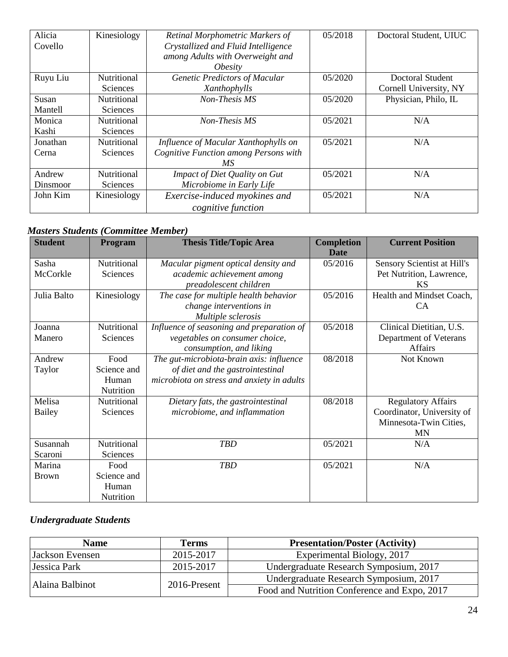| Alicia   | Kinesiology        | Retinal Morphometric Markers of       | 05/2018 | Doctoral Student, UIUC |
|----------|--------------------|---------------------------------------|---------|------------------------|
| Covello  |                    | Crystallized and Fluid Intelligence   |         |                        |
|          |                    | among Adults with Overweight and      |         |                        |
|          |                    | <i><b>Obesity</b></i>                 |         |                        |
| Ruyu Liu | Nutritional        | Genetic Predictors of Macular         | 05/2020 | Doctoral Student       |
|          | <b>Sciences</b>    | Xanthophylls                          |         | Cornell University, NY |
| Susan    | Nutritional        | Non-Thesis MS                         | 05/2020 | Physician, Philo, IL   |
| Mantell  | Sciences           |                                       |         |                        |
| Monica   | <b>Nutritional</b> | Non-Thesis MS                         | 05/2021 | N/A                    |
| Kashi    | <b>Sciences</b>    |                                       |         |                        |
| Jonathan | Nutritional        | Influence of Macular Xanthophylls on  | 05/2021 | N/A                    |
| Cerna    | <b>Sciences</b>    | Cognitive Function among Persons with |         |                        |
|          |                    | МS                                    |         |                        |
| Andrew   | Nutritional        | Impact of Diet Quality on Gut         | 05/2021 | N/A                    |
| Dinsmoor | <b>Sciences</b>    | Microbiome in Early Life              |         |                        |
| John Kim | Kinesiology        | Exercise-induced myokines and         | 05/2021 | N/A                    |
|          |                    | cognitive function                    |         |                        |

### *Masters Students (Committee Member)*

| <b>Student</b>    | Program                                   | <b>Thesis Title/Topic Area</b>                                                                                             | <b>Completion</b><br><b>Date</b> | <b>Current Position</b>                                                                        |
|-------------------|-------------------------------------------|----------------------------------------------------------------------------------------------------------------------------|----------------------------------|------------------------------------------------------------------------------------------------|
| Sasha<br>McCorkle | Nutritional<br><b>Sciences</b>            | Macular pigment optical density and<br>academic achievement among<br>preadolescent children                                | 05/2016                          | Sensory Scientist at Hill's<br>Pet Nutrition, Lawrence,<br><b>KS</b>                           |
| Julia Balto       | Kinesiology                               | The case for multiple health behavior<br>change interventions in<br>Multiple sclerosis                                     | 05/2016                          | Health and Mindset Coach,<br><b>CA</b>                                                         |
| Joanna<br>Manero  | Nutritional<br>Sciences                   | Influence of seasoning and preparation of<br>vegetables on consumer choice,<br>consumption, and liking                     | 05/2018                          | Clinical Dietitian, U.S.<br>Department of Veterans<br>Affairs                                  |
| Andrew<br>Taylor  | Food<br>Science and<br>Human<br>Nutrition | The gut-microbiota-brain axis: influence<br>of diet and the gastrointestinal<br>microbiota on stress and anxiety in adults | 08/2018                          | Not Known                                                                                      |
| Melisa<br>Bailey  | Nutritional<br>Sciences                   | Dietary fats, the gastrointestinal<br>microbiome, and inflammation                                                         | 08/2018                          | <b>Regulatory Affairs</b><br>Coordinator, University of<br>Minnesota-Twin Cities,<br><b>MN</b> |
| Susannah          | Nutritional                               | <b>TBD</b>                                                                                                                 | 05/2021                          | N/A                                                                                            |
| Scaroni<br>Marina | Sciences<br>Food                          | <b>TBD</b>                                                                                                                 | 05/2021                          | N/A                                                                                            |
| <b>Brown</b>      | Science and<br>Human<br>Nutrition         |                                                                                                                            |                                  |                                                                                                |

### *Undergraduate Students*

| <b>Name</b>     | <b>Terms</b> | <b>Presentation/Poster (Activity)</b>        |
|-----------------|--------------|----------------------------------------------|
| Jackson Evensen | 2015-2017    | Experimental Biology, 2017                   |
| Jessica Park    | 2015-2017    | Undergraduate Research Symposium, 2017       |
|                 | 2016-Present | Undergraduate Research Symposium, 2017       |
| Alaina Balbinot |              | Food and Nutrition Conference and Expo, 2017 |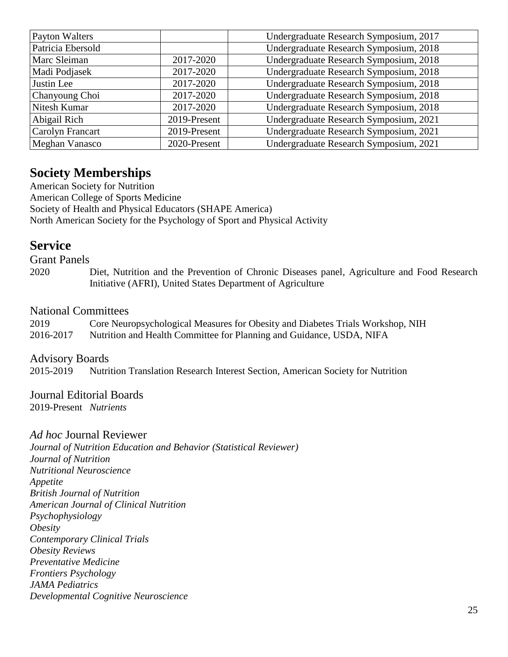| Payton Walters        |              | Undergraduate Research Symposium, 2017 |
|-----------------------|--------------|----------------------------------------|
| Patricia Ebersold     |              | Undergraduate Research Symposium, 2018 |
| <b>Marc Sleiman</b>   | 2017-2020    | Undergraduate Research Symposium, 2018 |
| Madi Podjasek         | 2017-2020    | Undergraduate Research Symposium, 2018 |
| Justin Lee            | 2017-2020    | Undergraduate Research Symposium, 2018 |
| Chanyoung Choi        | 2017-2020    | Undergraduate Research Symposium, 2018 |
| Nitesh Kumar          | 2017-2020    | Undergraduate Research Symposium, 2018 |
| Abigail Rich          | 2019-Present | Undergraduate Research Symposium, 2021 |
| Carolyn Francart      | 2019-Present | Undergraduate Research Symposium, 2021 |
| <b>Meghan Vanasco</b> | 2020-Present | Undergraduate Research Symposium, 2021 |

## **Society Memberships**

American Society for Nutrition American College of Sports Medicine Society of Health and Physical Educators (SHAPE America) North American Society for the Psychology of Sport and Physical Activity

## **Service**

Grant Panels

2020 Diet, Nutrition and the Prevention of Chronic Diseases panel, Agriculture and Food Research Initiative (AFRI), United States Department of Agriculture

### National Committees

| 2019      | Core Neuropsychological Measures for Obesity and Diabetes Trials Workshop, NIH |
|-----------|--------------------------------------------------------------------------------|
| 2016-2017 | Nutrition and Health Committee for Planning and Guidance, USDA, NIFA           |

#### Advisory Boards

2015-2019 Nutrition Translation Research Interest Section, American Society for Nutrition

## Journal Editorial Boards

2019-Present *Nutrients*

#### *Ad hoc* Journal Reviewer

*Journal of Nutrition Education and Behavior (Statistical Reviewer) Journal of Nutrition Nutritional Neuroscience Appetite British Journal of Nutrition American Journal of Clinical Nutrition Psychophysiology Obesity Contemporary Clinical Trials Obesity Reviews Preventative Medicine Frontiers Psychology JAMA Pediatrics Developmental Cognitive Neuroscience*